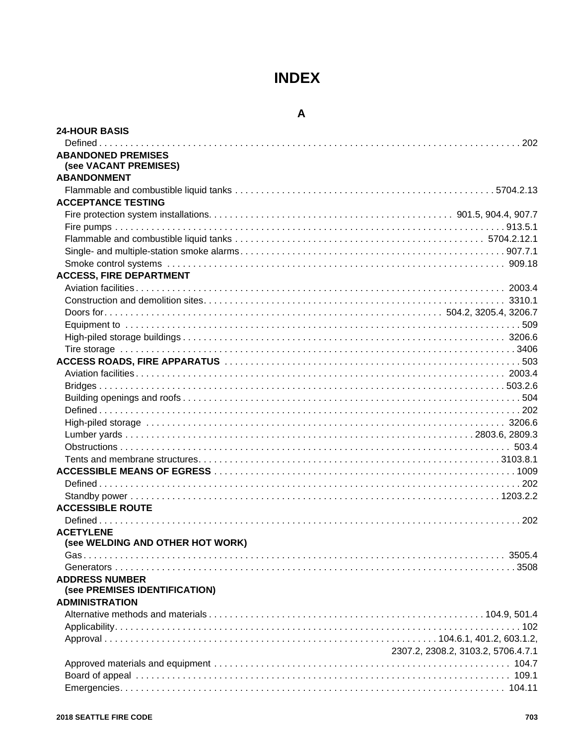# **INDEX**

## **A**

| <b>24-HOUR BASIS</b>                                   |                                    |
|--------------------------------------------------------|------------------------------------|
|                                                        |                                    |
| <b>ABANDONED PREMISES</b><br>(see VACANT PREMISES)     |                                    |
| <b>ABANDONMENT</b>                                     |                                    |
|                                                        |                                    |
| <b>ACCEPTANCE TESTING</b>                              |                                    |
|                                                        |                                    |
|                                                        |                                    |
|                                                        |                                    |
|                                                        |                                    |
|                                                        |                                    |
| <b>ACCESS, FIRE DEPARTMENT</b>                         |                                    |
|                                                        |                                    |
|                                                        |                                    |
|                                                        |                                    |
|                                                        |                                    |
|                                                        |                                    |
|                                                        |                                    |
|                                                        |                                    |
|                                                        |                                    |
|                                                        |                                    |
|                                                        |                                    |
|                                                        |                                    |
|                                                        |                                    |
|                                                        |                                    |
|                                                        |                                    |
|                                                        |                                    |
|                                                        |                                    |
|                                                        |                                    |
|                                                        |                                    |
|                                                        |                                    |
| <b>ACCESSIBLE ROUTE</b>                                |                                    |
|                                                        |                                    |
| <b>ACETYLENE</b><br>(see WELDING AND OTHER HOT WORK)   |                                    |
|                                                        |                                    |
|                                                        |                                    |
| <b>ADDRESS NUMBER</b><br>(see PREMISES IDENTIFICATION) |                                    |
| <b>ADMINISTRATION</b>                                  |                                    |
|                                                        |                                    |
|                                                        |                                    |
|                                                        |                                    |
|                                                        | 2307.2, 2308.2, 3103.2, 5706.4.7.1 |
|                                                        |                                    |
|                                                        |                                    |
|                                                        |                                    |
|                                                        |                                    |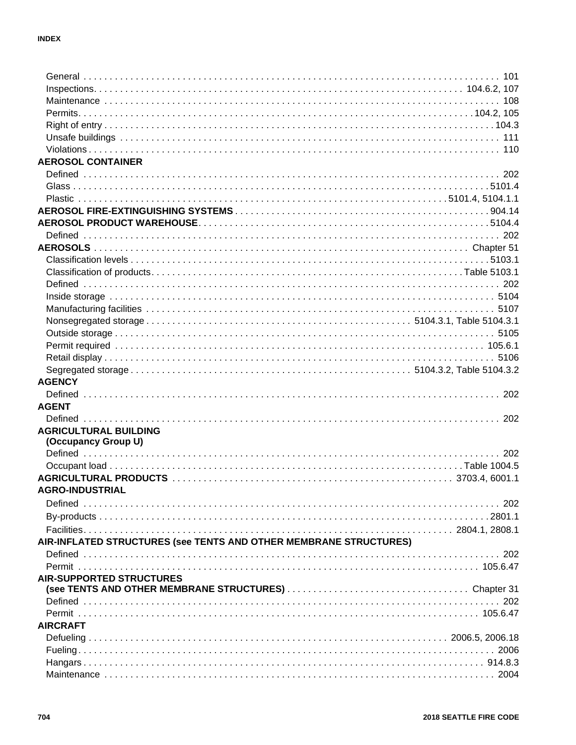| <b>AEROSOL CONTAINER</b>                                          |  |
|-------------------------------------------------------------------|--|
|                                                                   |  |
|                                                                   |  |
|                                                                   |  |
|                                                                   |  |
|                                                                   |  |
|                                                                   |  |
|                                                                   |  |
|                                                                   |  |
|                                                                   |  |
|                                                                   |  |
|                                                                   |  |
|                                                                   |  |
|                                                                   |  |
|                                                                   |  |
|                                                                   |  |
|                                                                   |  |
|                                                                   |  |
| <b>AGENCY</b>                                                     |  |
|                                                                   |  |
| <b>AGENT</b>                                                      |  |
|                                                                   |  |
| <b>AGRICULTURAL BUILDING</b>                                      |  |
| (Occupancy Group U)                                               |  |
|                                                                   |  |
|                                                                   |  |
|                                                                   |  |
| <b>AGRO-INDUSTRIAL</b>                                            |  |
|                                                                   |  |
|                                                                   |  |
|                                                                   |  |
|                                                                   |  |
| AIR-INFLATED STRUCTURES (see TENTS AND OTHER MEMBRANE STRUCTURES) |  |
|                                                                   |  |
|                                                                   |  |
| <b>AIR-SUPPORTED STRUCTURES</b>                                   |  |
|                                                                   |  |
|                                                                   |  |
| <b>AIRCRAFT</b>                                                   |  |
|                                                                   |  |
|                                                                   |  |
|                                                                   |  |
|                                                                   |  |
|                                                                   |  |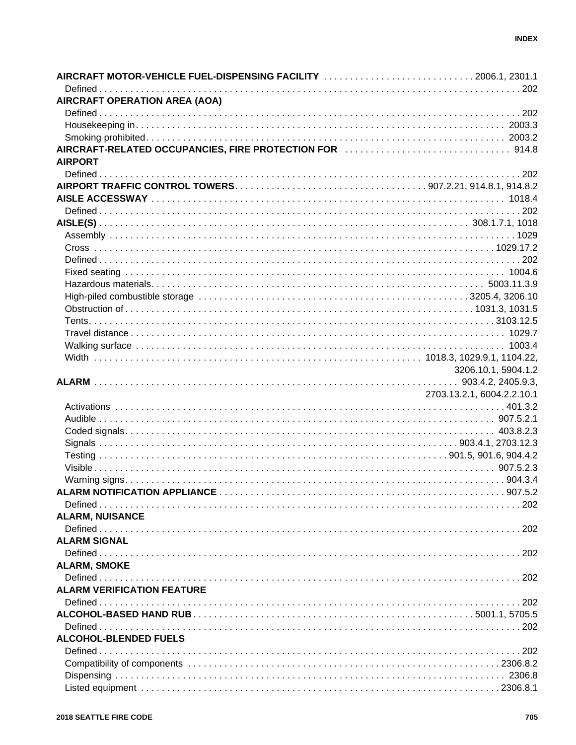| AIRCRAFT MOTOR-VEHICLE FUEL-DISPENSING FACILITY 2006.1, 2301.1               |                            |
|------------------------------------------------------------------------------|----------------------------|
| AIRCRAFT OPERATION AREA (AOA)                                                |                            |
|                                                                              |                            |
|                                                                              |                            |
|                                                                              |                            |
| AIRCRAFT-RELATED OCCUPANCIES, FIRE PROTECTION FOR <b>With CONVEY 2014</b> .8 |                            |
| <b>AIRPORT</b>                                                               |                            |
|                                                                              |                            |
|                                                                              |                            |
|                                                                              |                            |
|                                                                              |                            |
|                                                                              |                            |
|                                                                              |                            |
|                                                                              |                            |
|                                                                              |                            |
|                                                                              |                            |
|                                                                              |                            |
|                                                                              |                            |
|                                                                              |                            |
|                                                                              |                            |
|                                                                              |                            |
|                                                                              |                            |
|                                                                              |                            |
|                                                                              |                            |
|                                                                              | 3206.10.1, 5904.1.2        |
|                                                                              |                            |
|                                                                              |                            |
|                                                                              |                            |
|                                                                              | 2703.13.2.1, 6004.2.2.10.1 |
|                                                                              |                            |
|                                                                              |                            |
|                                                                              |                            |
|                                                                              |                            |
|                                                                              |                            |
|                                                                              |                            |
|                                                                              |                            |
|                                                                              |                            |
|                                                                              |                            |
|                                                                              |                            |
| <b>ALARM, NUISANCE</b>                                                       |                            |
|                                                                              |                            |
| <b>ALARM SIGNAL</b>                                                          |                            |
|                                                                              |                            |
| <b>ALARM, SMOKE</b>                                                          |                            |
|                                                                              |                            |
| <b>ALARM VERIFICATION FEATURE</b>                                            |                            |
|                                                                              |                            |
|                                                                              |                            |
|                                                                              |                            |
| <b>ALCOHOL-BLENDED FUELS</b>                                                 |                            |
|                                                                              |                            |
|                                                                              |                            |
|                                                                              |                            |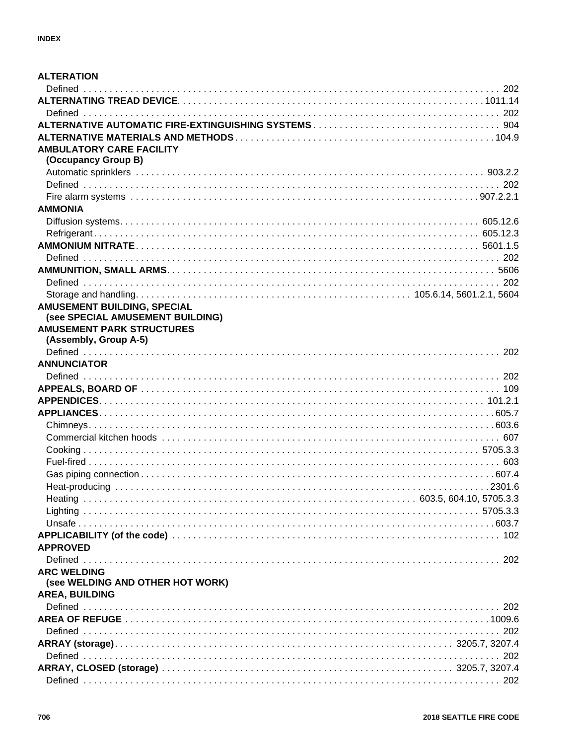| <b>ALTERATION</b>                |  |
|----------------------------------|--|
|                                  |  |
|                                  |  |
|                                  |  |
|                                  |  |
|                                  |  |
| <b>AMBULATORY CARE FACILITY</b>  |  |
| (Occupancy Group B)              |  |
|                                  |  |
|                                  |  |
|                                  |  |
| <b>AMMONIA</b>                   |  |
|                                  |  |
|                                  |  |
|                                  |  |
|                                  |  |
|                                  |  |
|                                  |  |
|                                  |  |
| AMUSEMENT BUILDING, SPECIAL      |  |
| (see SPECIAL AMUSEMENT BUILDING) |  |
| <b>AMUSEMENT PARK STRUCTURES</b> |  |
| (Assembly, Group A-5)            |  |
|                                  |  |
| <b>ANNUNCIATOR</b>               |  |
|                                  |  |
|                                  |  |
|                                  |  |
|                                  |  |
|                                  |  |
|                                  |  |
|                                  |  |
|                                  |  |
|                                  |  |
|                                  |  |
|                                  |  |
|                                  |  |
|                                  |  |
|                                  |  |
|                                  |  |
| <b>APPROVED</b>                  |  |
|                                  |  |
| <b>ARC WELDING</b>               |  |
| (see WELDING AND OTHER HOT WORK) |  |
| <b>AREA, BUILDING</b>            |  |
|                                  |  |
|                                  |  |
|                                  |  |
|                                  |  |
|                                  |  |
|                                  |  |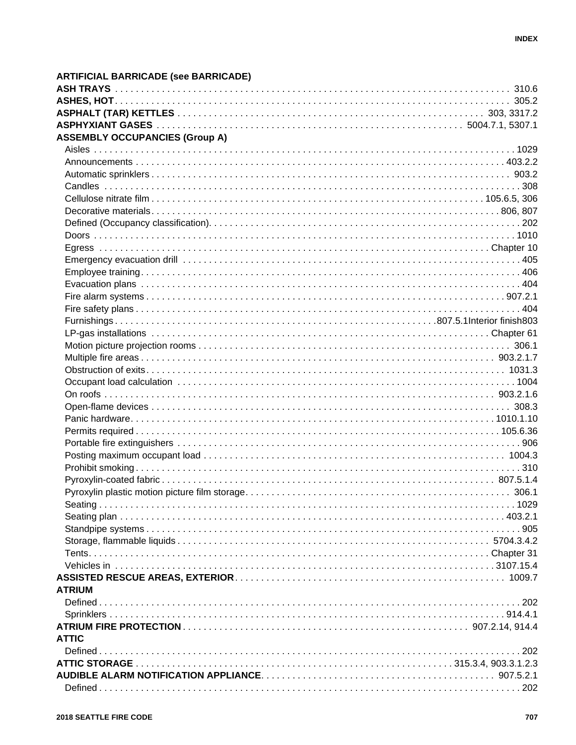| <b>ASSEMBLY OCCUPANCIES (Group A)</b> |  |
|---------------------------------------|--|
|                                       |  |
|                                       |  |
|                                       |  |
|                                       |  |
|                                       |  |
|                                       |  |
|                                       |  |
|                                       |  |
|                                       |  |
|                                       |  |
|                                       |  |
|                                       |  |
|                                       |  |
|                                       |  |
|                                       |  |
|                                       |  |
|                                       |  |
|                                       |  |
|                                       |  |
|                                       |  |
|                                       |  |
|                                       |  |
|                                       |  |
|                                       |  |
|                                       |  |
|                                       |  |
|                                       |  |
|                                       |  |
|                                       |  |
|                                       |  |
|                                       |  |
|                                       |  |
|                                       |  |
|                                       |  |
|                                       |  |
|                                       |  |
| <b>ATRIUM</b>                         |  |
|                                       |  |
|                                       |  |
|                                       |  |
| <b>ATTIC</b>                          |  |
|                                       |  |
|                                       |  |
|                                       |  |
|                                       |  |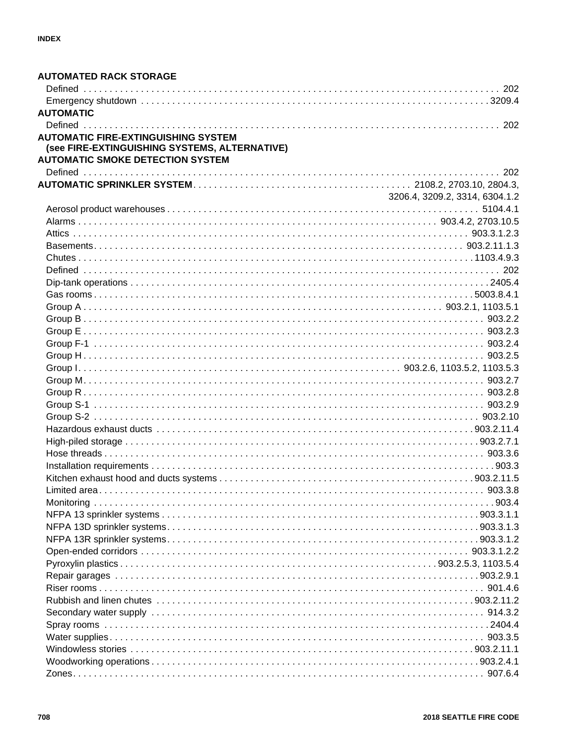| <b>AUTOMATED RACK STORAGE</b>                 |                                |
|-----------------------------------------------|--------------------------------|
|                                               |                                |
| <b>AUTOMATIC</b>                              |                                |
|                                               |                                |
| <b>AUTOMATIC FIRE-EXTINGUISHING SYSTEM</b>    |                                |
| (see FIRE-EXTINGUISHING SYSTEMS, ALTERNATIVE) |                                |
| <b>AUTOMATIC SMOKE DETECTION SYSTEM</b>       |                                |
|                                               |                                |
|                                               |                                |
|                                               | 3206.4, 3209.2, 3314, 6304.1.2 |
|                                               |                                |
|                                               |                                |
|                                               |                                |
|                                               |                                |
|                                               |                                |
|                                               |                                |
|                                               |                                |
|                                               |                                |
|                                               |                                |
|                                               |                                |
|                                               |                                |
|                                               |                                |
|                                               |                                |
|                                               |                                |
|                                               |                                |
|                                               |                                |
|                                               |                                |
|                                               |                                |
|                                               |                                |
|                                               |                                |
|                                               |                                |
|                                               |                                |
|                                               |                                |
|                                               |                                |
|                                               |                                |
|                                               |                                |
|                                               |                                |
|                                               |                                |
|                                               |                                |
|                                               |                                |
|                                               |                                |
|                                               |                                |
|                                               |                                |
|                                               |                                |
|                                               |                                |
|                                               |                                |
|                                               |                                |
|                                               |                                |
|                                               |                                |
|                                               |                                |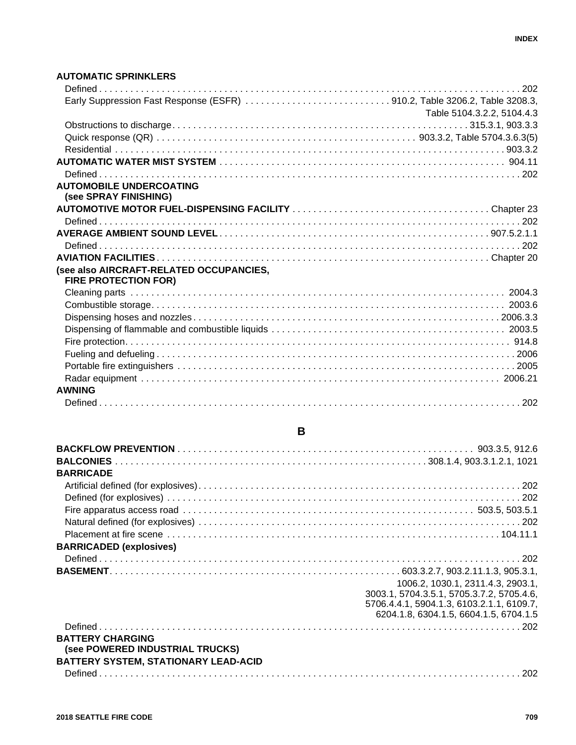#### **AUTOMATIC SPRINKLERS**

| Early Suppression Fast Response (ESFR) 910.2, Table 3206.2, Table 3208.3, |                            |
|---------------------------------------------------------------------------|----------------------------|
|                                                                           | Table 5104.3.2.2, 5104.4.3 |
|                                                                           |                            |
|                                                                           |                            |
|                                                                           |                            |
|                                                                           |                            |
|                                                                           |                            |
| <b>AUTOMOBILE UNDERCOATING</b><br>(see SPRAY FINISHING)                   |                            |
|                                                                           |                            |
|                                                                           |                            |
|                                                                           |                            |
|                                                                           |                            |
|                                                                           |                            |
| (see also AIRCRAFT-RELATED OCCUPANCIES,<br><b>FIRE PROTECTION FOR)</b>    |                            |
|                                                                           |                            |
|                                                                           |                            |
|                                                                           |                            |
|                                                                           |                            |
|                                                                           |                            |
|                                                                           |                            |
|                                                                           |                            |
|                                                                           |                            |
| <b>AWNING</b>                                                             |                            |
|                                                                           |                            |

| <b>BARRICADE</b>                                                                                          |                                                                                                                                                                       |
|-----------------------------------------------------------------------------------------------------------|-----------------------------------------------------------------------------------------------------------------------------------------------------------------------|
|                                                                                                           |                                                                                                                                                                       |
|                                                                                                           |                                                                                                                                                                       |
|                                                                                                           |                                                                                                                                                                       |
|                                                                                                           |                                                                                                                                                                       |
|                                                                                                           |                                                                                                                                                                       |
| <b>BARRICADED (explosives)</b>                                                                            |                                                                                                                                                                       |
|                                                                                                           |                                                                                                                                                                       |
|                                                                                                           |                                                                                                                                                                       |
|                                                                                                           | 1006.2, 1030.1, 2311.4.3, 2903.1,<br>3003.1, 5704.3.5.1, 5705.3.7.2, 5705.4.6,<br>5706.4.4.1, 5904.1.3, 6103.2.1.1, 6109.7,<br>6204.1.8, 6304.1.5, 6604.1.5, 6704.1.5 |
|                                                                                                           |                                                                                                                                                                       |
| <b>BATTERY CHARGING</b><br>(see POWERED INDUSTRIAL TRUCKS)<br><b>BATTERY SYSTEM, STATIONARY LEAD-ACID</b> |                                                                                                                                                                       |

Defined . . . . . . . . . . . . . . . . . . . . . . . . . . . . . . . . . . . . . . . . . . . . . . . . . . . . . . . . . . . . . . . . . . . . . . . . . . . . . . . . . 202

# **B**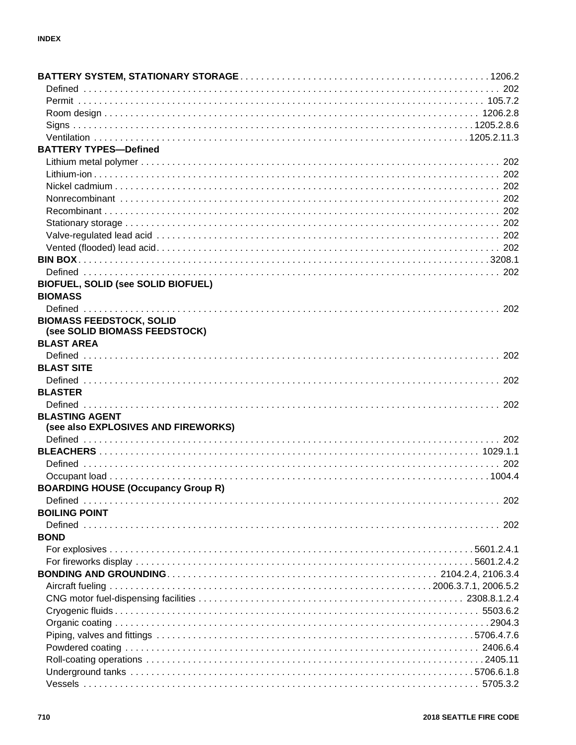| <b>BATTERY TYPES-Defined</b>              |  |
|-------------------------------------------|--|
|                                           |  |
|                                           |  |
|                                           |  |
|                                           |  |
|                                           |  |
|                                           |  |
|                                           |  |
|                                           |  |
|                                           |  |
|                                           |  |
| <b>BIOFUEL, SOLID (see SOLID BIOFUEL)</b> |  |
| <b>BIOMASS</b>                            |  |
|                                           |  |
| <b>BIOMASS FEEDSTOCK, SOLID</b>           |  |
| (see SOLID BIOMASS FEEDSTOCK)             |  |
| <b>BLAST AREA</b>                         |  |
|                                           |  |
| <b>BLAST SITE</b>                         |  |
|                                           |  |
| <b>BLASTER</b>                            |  |
|                                           |  |
| <b>BLASTING AGENT</b>                     |  |
| (see also EXPLOSIVES AND FIREWORKS)       |  |
|                                           |  |
|                                           |  |
|                                           |  |
|                                           |  |
| <b>BOARDING HOUSE (Occupancy Group R)</b> |  |
|                                           |  |
| <b>BOILING POINT</b>                      |  |
|                                           |  |
| <b>BOND</b>                               |  |
|                                           |  |
|                                           |  |
|                                           |  |
|                                           |  |
|                                           |  |
|                                           |  |
|                                           |  |
|                                           |  |
|                                           |  |
|                                           |  |
|                                           |  |
|                                           |  |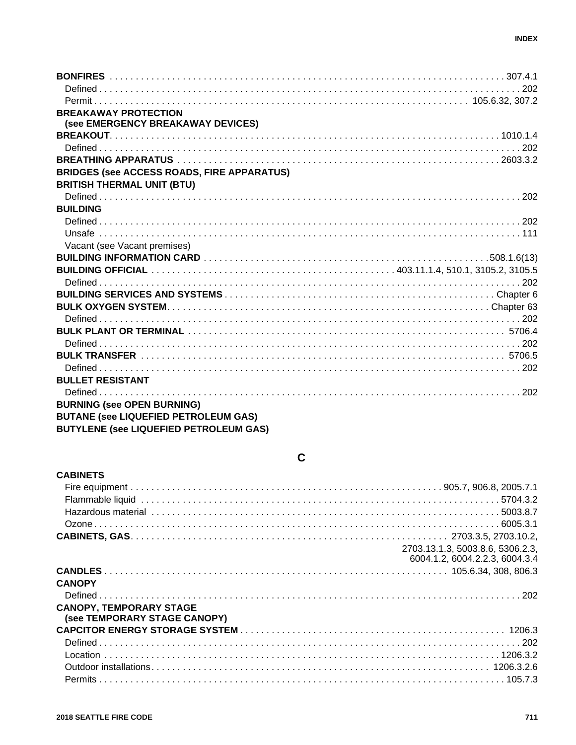| <b>BREAKAWAY PROTECTION</b>                       |  |
|---------------------------------------------------|--|
| (see EMERGENCY BREAKAWAY DEVICES)                 |  |
|                                                   |  |
|                                                   |  |
|                                                   |  |
| <b>BRIDGES (see ACCESS ROADS, FIRE APPARATUS)</b> |  |
| <b>BRITISH THERMAL UNIT (BTU)</b>                 |  |
|                                                   |  |
| <b>BUILDING</b>                                   |  |
|                                                   |  |
|                                                   |  |
| Vacant (see Vacant premises)                      |  |
|                                                   |  |
|                                                   |  |
|                                                   |  |
|                                                   |  |
|                                                   |  |
|                                                   |  |
|                                                   |  |
|                                                   |  |
|                                                   |  |
|                                                   |  |
| <b>BULLET RESISTANT</b>                           |  |
|                                                   |  |
| <b>BURNING (see OPEN BURNING)</b>                 |  |
|                                                   |  |
| <b>BUTANE (see LIQUEFIED PETROLEUM GAS)</b>       |  |

BUTYLENE (see LIQUEFIED PETROLEUM GAS)

# $\mathbf c$

| <b>CABINETS</b>                |                                  |
|--------------------------------|----------------------------------|
|                                |                                  |
|                                |                                  |
|                                |                                  |
|                                |                                  |
|                                |                                  |
|                                | 2703.13.1.3, 5003.8.6, 5306.2.3, |
|                                | 6004.1.2, 6004.2.2.3, 6004.3.4   |
|                                |                                  |
| <b>CANOPY</b>                  |                                  |
|                                |                                  |
| <b>CANOPY, TEMPORARY STAGE</b> |                                  |
| (see TEMPORARY STAGE CANOPY)   |                                  |
|                                |                                  |
|                                |                                  |
|                                |                                  |
|                                |                                  |
|                                |                                  |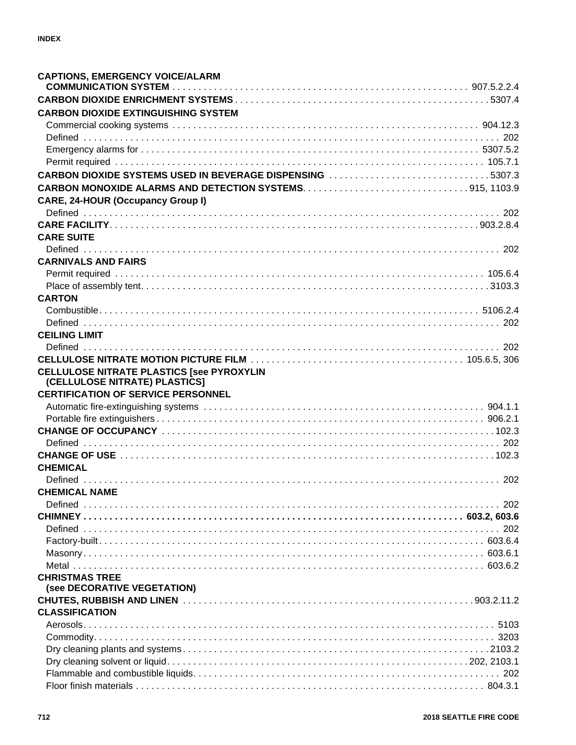| <b>CAPTIONS, EMERGENCY VOICE/ALARM</b>                                            |  |
|-----------------------------------------------------------------------------------|--|
|                                                                                   |  |
| <b>CARBON DIOXIDE EXTINGUISHING SYSTEM</b>                                        |  |
|                                                                                   |  |
|                                                                                   |  |
|                                                                                   |  |
|                                                                                   |  |
| CARBON DIOXIDE SYSTEMS USED IN BEVERAGE DISPENSING 5307.3                         |  |
|                                                                                   |  |
| <b>CARE, 24-HOUR (Occupancy Group I)</b>                                          |  |
|                                                                                   |  |
|                                                                                   |  |
| <b>CARE SUITE</b>                                                                 |  |
|                                                                                   |  |
|                                                                                   |  |
| <b>CARNIVALS AND FAIRS</b>                                                        |  |
|                                                                                   |  |
|                                                                                   |  |
| <b>CARTON</b>                                                                     |  |
|                                                                                   |  |
|                                                                                   |  |
| <b>CEILING LIMIT</b>                                                              |  |
|                                                                                   |  |
|                                                                                   |  |
| <b>CELLULOSE NITRATE PLASTICS [see PYROXYLIN</b><br>(CELLULOSE NITRATE) PLASTICS] |  |
| <b>CERTIFICATION OF SERVICE PERSONNEL</b>                                         |  |
|                                                                                   |  |
|                                                                                   |  |
|                                                                                   |  |
|                                                                                   |  |
|                                                                                   |  |
| <b>CHEMICAL</b>                                                                   |  |
|                                                                                   |  |
| <b>CHEMICAL NAME</b>                                                              |  |
|                                                                                   |  |
|                                                                                   |  |
|                                                                                   |  |
|                                                                                   |  |
|                                                                                   |  |
|                                                                                   |  |
| <b>CHRISTMAS TREE</b>                                                             |  |
| (see DECORATIVE VEGETATION)                                                       |  |
|                                                                                   |  |
| <b>CLASSIFICATION</b>                                                             |  |
|                                                                                   |  |
|                                                                                   |  |
|                                                                                   |  |
|                                                                                   |  |
|                                                                                   |  |
|                                                                                   |  |
|                                                                                   |  |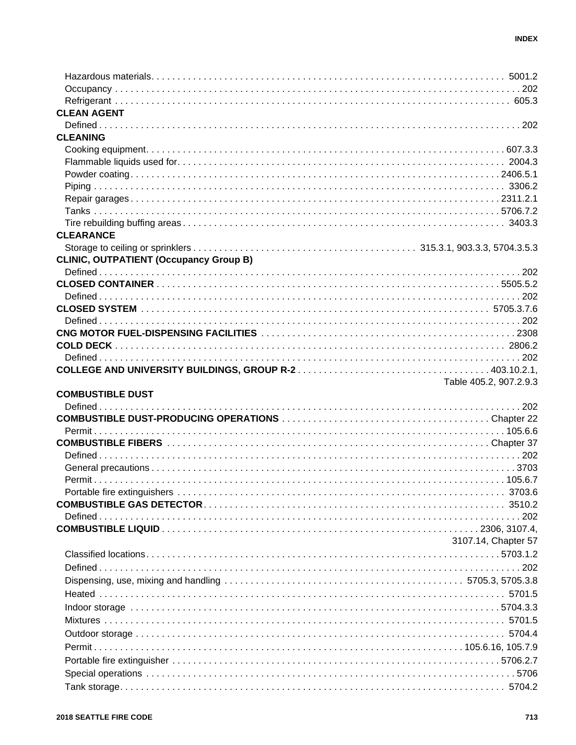| <b>CLEAN AGENT</b>                            |                        |
|-----------------------------------------------|------------------------|
|                                               |                        |
| <b>CLEANING</b>                               |                        |
|                                               |                        |
|                                               |                        |
|                                               |                        |
|                                               |                        |
|                                               |                        |
|                                               |                        |
| <b>CLEARANCE</b>                              |                        |
|                                               |                        |
| <b>CLINIC, OUTPATIENT (Occupancy Group B)</b> |                        |
|                                               |                        |
|                                               |                        |
|                                               |                        |
|                                               |                        |
|                                               |                        |
|                                               |                        |
|                                               |                        |
|                                               |                        |
|                                               |                        |
|                                               | Table 405.2, 907.2.9.3 |
|                                               |                        |
| <b>COMBUSTIBLE DUST</b>                       |                        |
|                                               |                        |
|                                               |                        |
|                                               |                        |
|                                               |                        |
|                                               |                        |
|                                               |                        |
|                                               |                        |
|                                               |                        |
|                                               |                        |
|                                               |                        |
|                                               |                        |
|                                               | 3107.14, Chapter 57    |
|                                               |                        |
|                                               |                        |
|                                               |                        |
|                                               |                        |
|                                               |                        |
|                                               |                        |
|                                               |                        |
|                                               |                        |
|                                               |                        |
|                                               |                        |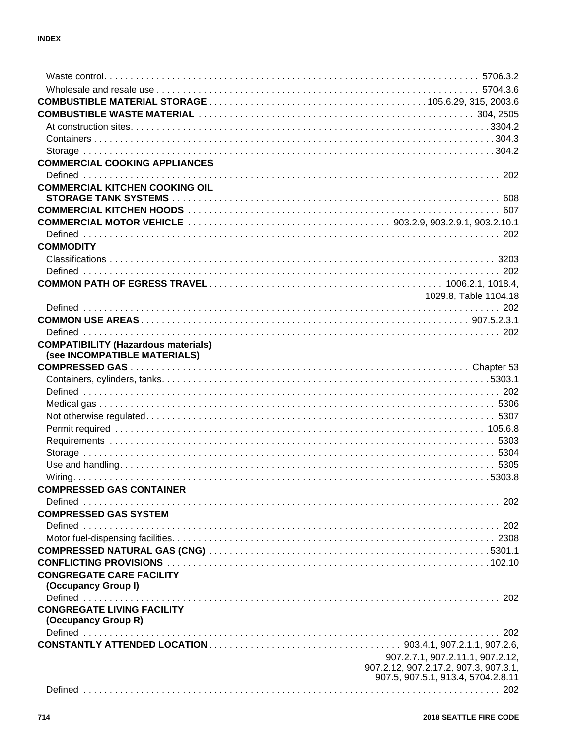| <b>COMMERCIAL COOKING APPLIANCES</b>       |                                                                             |
|--------------------------------------------|-----------------------------------------------------------------------------|
|                                            |                                                                             |
| <b>COMMERCIAL KITCHEN COOKING OIL</b>      |                                                                             |
|                                            |                                                                             |
|                                            |                                                                             |
|                                            |                                                                             |
|                                            |                                                                             |
| <b>COMMODITY</b>                           |                                                                             |
|                                            |                                                                             |
|                                            |                                                                             |
|                                            |                                                                             |
|                                            | 1029.8, Table 1104.18                                                       |
|                                            |                                                                             |
|                                            |                                                                             |
|                                            |                                                                             |
| <b>COMPATIBILITY (Hazardous materials)</b> |                                                                             |
| (see INCOMPATIBLE MATERIALS)               |                                                                             |
|                                            |                                                                             |
|                                            |                                                                             |
|                                            |                                                                             |
|                                            |                                                                             |
|                                            |                                                                             |
|                                            |                                                                             |
|                                            |                                                                             |
|                                            |                                                                             |
|                                            |                                                                             |
|                                            |                                                                             |
| <b>COMPRESSED GAS CONTAINER</b>            |                                                                             |
|                                            |                                                                             |
| <b>COMPRESSED GAS SYSTEM</b>               |                                                                             |
|                                            |                                                                             |
|                                            |                                                                             |
|                                            |                                                                             |
|                                            |                                                                             |
| <b>CONGREGATE CARE FACILITY</b>            |                                                                             |
| (Occupancy Group I)                        |                                                                             |
|                                            |                                                                             |
| <b>CONGREGATE LIVING FACILITY</b>          |                                                                             |
| (Occupancy Group R)                        |                                                                             |
|                                            |                                                                             |
|                                            |                                                                             |
|                                            | 907.2.7.1, 907.2.11.1, 907.2.12,                                            |
|                                            | 907.2.12, 907.2.17.2, 907.3, 907.3.1,<br>907.5, 907.5.1, 913.4, 5704.2.8.11 |
|                                            |                                                                             |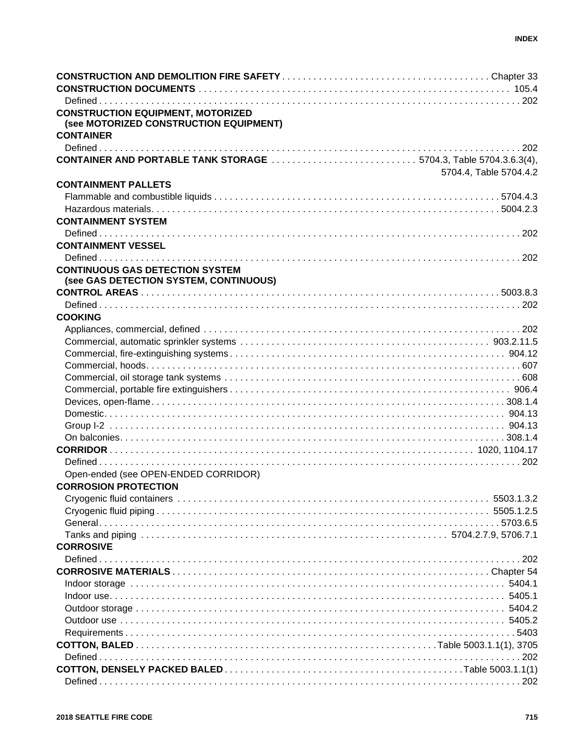| <b>CONSTRUCTION EQUIPMENT, MOTORIZED</b><br>(see MOTORIZED CONSTRUCTION EQUIPMENT) |                        |
|------------------------------------------------------------------------------------|------------------------|
| <b>CONTAINER</b>                                                                   |                        |
|                                                                                    |                        |
| <b>CONTAINER AND PORTABLE TANK STORAGE</b> 5704.3, Table 5704.3.6.3(4),            | 5704.4, Table 5704.4.2 |
| <b>CONTAINMENT PALLETS</b>                                                         |                        |
|                                                                                    |                        |
|                                                                                    |                        |
| <b>CONTAINMENT SYSTEM</b>                                                          |                        |
|                                                                                    |                        |
| <b>CONTAINMENT VESSEL</b>                                                          |                        |
|                                                                                    |                        |
| <b>CONTINUOUS GAS DETECTION SYSTEM</b><br>(see GAS DETECTION SYSTEM, CONTINUOUS)   |                        |
|                                                                                    |                        |
|                                                                                    |                        |
| <b>COOKING</b>                                                                     |                        |
|                                                                                    |                        |
|                                                                                    |                        |
|                                                                                    |                        |
|                                                                                    |                        |
|                                                                                    |                        |
|                                                                                    |                        |
|                                                                                    |                        |
|                                                                                    |                        |
|                                                                                    |                        |
|                                                                                    |                        |
|                                                                                    |                        |
|                                                                                    |                        |
| Open-ended (see OPEN-ENDED CORRIDOR)                                               |                        |
| <b>CORROSION PROTECTION</b>                                                        |                        |
|                                                                                    |                        |
|                                                                                    |                        |
|                                                                                    |                        |
|                                                                                    |                        |
| <b>CORROSIVE</b>                                                                   |                        |
|                                                                                    |                        |
|                                                                                    |                        |
|                                                                                    |                        |
|                                                                                    |                        |
|                                                                                    |                        |
|                                                                                    |                        |
|                                                                                    |                        |
|                                                                                    |                        |
|                                                                                    |                        |
|                                                                                    |                        |
|                                                                                    |                        |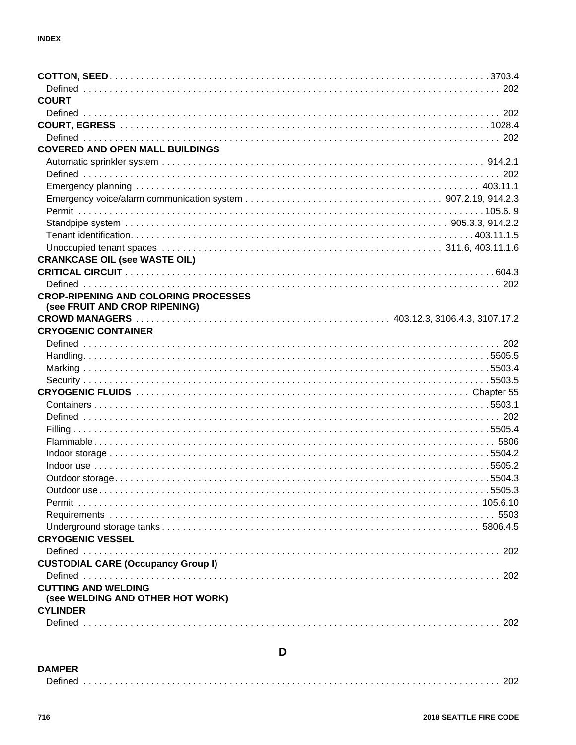| <b>COURT</b>                                |  |
|---------------------------------------------|--|
|                                             |  |
|                                             |  |
|                                             |  |
| <b>COVERED AND OPEN MALL BUILDINGS</b>      |  |
|                                             |  |
|                                             |  |
|                                             |  |
|                                             |  |
|                                             |  |
|                                             |  |
|                                             |  |
|                                             |  |
| <b>CRANKCASE OIL (see WASTE OIL)</b>        |  |
|                                             |  |
|                                             |  |
| <b>CROP-RIPENING AND COLORING PROCESSES</b> |  |
| (see FRUIT AND CROP RIPENING)               |  |
|                                             |  |
| <b>CRYOGENIC CONTAINER</b>                  |  |
|                                             |  |
|                                             |  |
|                                             |  |
|                                             |  |
|                                             |  |
|                                             |  |
|                                             |  |
|                                             |  |
|                                             |  |
|                                             |  |
|                                             |  |
|                                             |  |
|                                             |  |
|                                             |  |
|                                             |  |
|                                             |  |
| <b>CRYOGENIC VESSEL</b>                     |  |
|                                             |  |
| <b>CUSTODIAL CARE (Occupancy Group I)</b>   |  |
|                                             |  |
| <b>CUTTING AND WELDING</b>                  |  |
| (see WELDING AND OTHER HOT WORK)            |  |
| <b>CYLINDER</b>                             |  |
|                                             |  |
|                                             |  |

#### **DAMPER**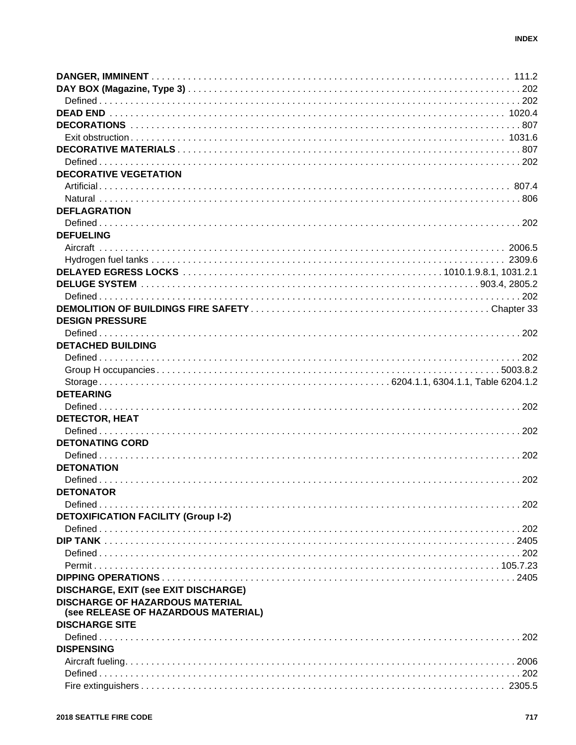| <b>DECORATIVE VEGETATION</b>                |  |
|---------------------------------------------|--|
|                                             |  |
|                                             |  |
| <b>DEFLAGRATION</b>                         |  |
|                                             |  |
| <b>DEFUELING</b>                            |  |
|                                             |  |
|                                             |  |
|                                             |  |
|                                             |  |
|                                             |  |
|                                             |  |
| <b>DESIGN PRESSURE</b>                      |  |
|                                             |  |
| <b>DETACHED BUILDING</b>                    |  |
|                                             |  |
|                                             |  |
|                                             |  |
| <b>DETEARING</b>                            |  |
|                                             |  |
|                                             |  |
| <b>DETECTOR, HEAT</b>                       |  |
|                                             |  |
| <b>DETONATING CORD</b>                      |  |
|                                             |  |
| <b>DETONATION</b>                           |  |
|                                             |  |
| <b>DETONATOR</b>                            |  |
|                                             |  |
| <b>DETOXIFICATION FACILITY (Group I-2)</b>  |  |
|                                             |  |
|                                             |  |
|                                             |  |
|                                             |  |
|                                             |  |
| <b>DISCHARGE, EXIT (see EXIT DISCHARGE)</b> |  |
| <b>DISCHARGE OF HAZARDOUS MATERIAL</b>      |  |
| (see RELEASE OF HAZARDOUS MATERIAL)         |  |
| <b>DISCHARGE SITE</b>                       |  |
|                                             |  |
| <b>DISPENSING</b>                           |  |
|                                             |  |
|                                             |  |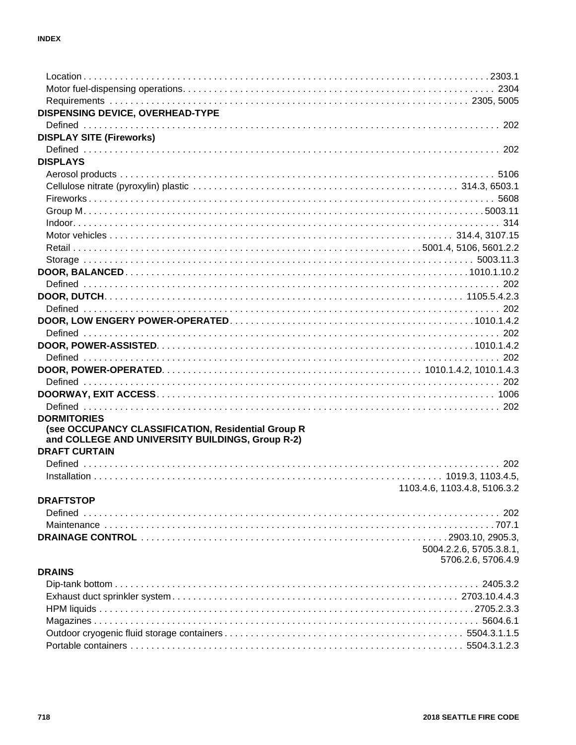| <b>DISPENSING DEVICE, OVERHEAD-TYPE</b>            |                                               |
|----------------------------------------------------|-----------------------------------------------|
|                                                    |                                               |
| <b>DISPLAY SITE (Fireworks)</b>                    |                                               |
|                                                    |                                               |
| <b>DISPLAYS</b>                                    |                                               |
|                                                    |                                               |
|                                                    |                                               |
|                                                    |                                               |
|                                                    |                                               |
|                                                    |                                               |
|                                                    |                                               |
|                                                    |                                               |
|                                                    |                                               |
|                                                    |                                               |
|                                                    |                                               |
|                                                    |                                               |
|                                                    |                                               |
|                                                    |                                               |
|                                                    |                                               |
|                                                    |                                               |
|                                                    |                                               |
|                                                    |                                               |
|                                                    |                                               |
|                                                    |                                               |
|                                                    |                                               |
| <b>DORMITORIES</b>                                 |                                               |
| (see OCCUPANCY CLASSIFICATION, Residential Group R |                                               |
| and COLLEGE AND UNIVERSITY BUILDINGS, Group R-2)   |                                               |
| <b>DRAFT CURTAIN</b>                               |                                               |
|                                                    |                                               |
|                                                    |                                               |
|                                                    | 1103.4.6, 1103.4.8, 5106.3.2                  |
| <b>DRAFTSTOP</b>                                   |                                               |
|                                                    |                                               |
|                                                    |                                               |
|                                                    |                                               |
|                                                    | 5004.2.2.6, 5705.3.8.1,<br>5706.2.6, 5706.4.9 |
| <b>DRAINS</b>                                      |                                               |
|                                                    |                                               |
|                                                    |                                               |
|                                                    |                                               |
|                                                    |                                               |
|                                                    |                                               |
|                                                    |                                               |
|                                                    |                                               |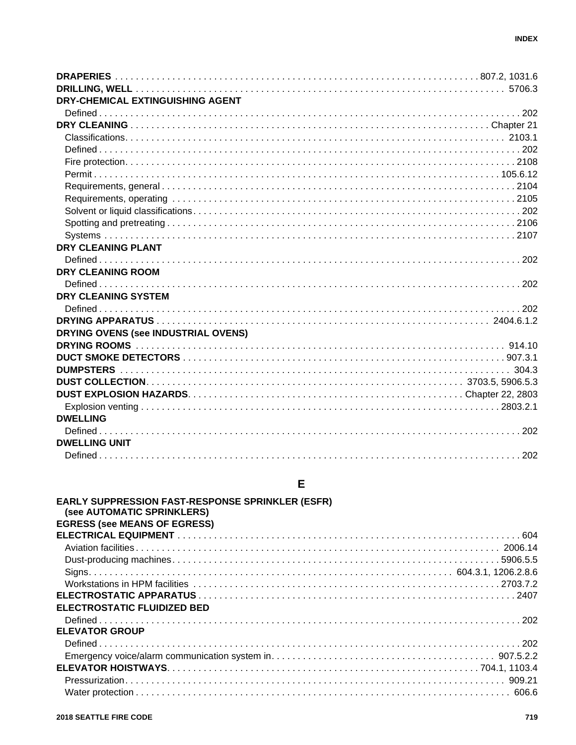| DRY-CHEMICAL EXTINGUISHING AGENT    |  |
|-------------------------------------|--|
|                                     |  |
|                                     |  |
|                                     |  |
|                                     |  |
|                                     |  |
|                                     |  |
|                                     |  |
|                                     |  |
|                                     |  |
|                                     |  |
|                                     |  |
| DRY CLEANING PLANT                  |  |
|                                     |  |
| <b>DRY CLEANING ROOM</b>            |  |
|                                     |  |
| <b>DRY CLEANING SYSTEM</b>          |  |
|                                     |  |
|                                     |  |
| DRYING OVENS (see INDUSTRIAL OVENS) |  |
|                                     |  |
|                                     |  |
|                                     |  |
|                                     |  |
|                                     |  |
|                                     |  |
| <b>DWELLING</b>                     |  |
|                                     |  |
| <b>DWELLING UNIT</b>                |  |
|                                     |  |
|                                     |  |

# $\mathsf{E}% _{0}\left( \mathsf{E}\right)$

| <b>EARLY SUPPRESSION FAST-RESPONSE SPRINKLER (ESFR)</b><br>(see AUTOMATIC SPRINKLERS) |  |
|---------------------------------------------------------------------------------------|--|
| <b>EGRESS (see MEANS OF EGRESS)</b>                                                   |  |
|                                                                                       |  |
|                                                                                       |  |
|                                                                                       |  |
|                                                                                       |  |
|                                                                                       |  |
|                                                                                       |  |
| <b>ELECTROSTATIC FLUIDIZED BED</b>                                                    |  |
|                                                                                       |  |
| <b>ELEVATOR GROUP</b>                                                                 |  |
|                                                                                       |  |
|                                                                                       |  |
|                                                                                       |  |
|                                                                                       |  |
|                                                                                       |  |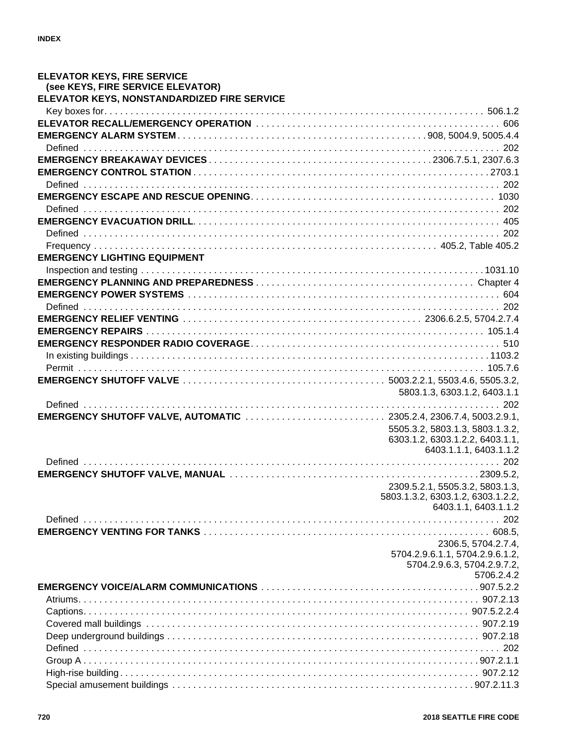| <b>ELEVATOR KEYS, FIRE SERVICE</b>                                        |                                                           |
|---------------------------------------------------------------------------|-----------------------------------------------------------|
| (see KEYS, FIRE SERVICE ELEVATOR)                                         |                                                           |
| ELEVATOR KEYS, NONSTANDARDIZED FIRE SERVICE                               |                                                           |
|                                                                           |                                                           |
|                                                                           |                                                           |
|                                                                           |                                                           |
|                                                                           |                                                           |
|                                                                           |                                                           |
|                                                                           |                                                           |
|                                                                           |                                                           |
|                                                                           |                                                           |
|                                                                           |                                                           |
|                                                                           |                                                           |
|                                                                           |                                                           |
|                                                                           |                                                           |
| <b>EMERGENCY LIGHTING EQUIPMENT</b>                                       |                                                           |
|                                                                           |                                                           |
|                                                                           |                                                           |
|                                                                           |                                                           |
|                                                                           |                                                           |
|                                                                           |                                                           |
|                                                                           |                                                           |
|                                                                           |                                                           |
|                                                                           |                                                           |
|                                                                           |                                                           |
|                                                                           |                                                           |
|                                                                           |                                                           |
|                                                                           | 5803.1.3, 6303.1.2, 6403.1.1                              |
|                                                                           |                                                           |
| <b>EMERGENCY SHUTOFF VALVE, AUTOMATIC</b> 2305.2.4, 2306.7.4, 5003.2.9.1, |                                                           |
|                                                                           | 5505.3.2, 5803.1.3, 5803.1.3.2,                           |
|                                                                           | 6303.1.2, 6303.1.2.2, 6403.1.1,                           |
|                                                                           | 6403.1.1.1, 6403.1.1.2                                    |
|                                                                           |                                                           |
|                                                                           |                                                           |
|                                                                           | 2309.5.2.1, 5505.3.2, 5803.1.3,                           |
|                                                                           | 5803.1.3.2, 6303.1.2, 6303.1.2.2,<br>6403.1.1, 6403.1.1.2 |
|                                                                           |                                                           |
|                                                                           |                                                           |
|                                                                           | 2306.5, 5704.2.7.4,                                       |
|                                                                           | 5704.2.9.6.1.1, 5704.2.9.6.1.2,                           |
|                                                                           | 5704.2.9.6.3, 5704.2.9.7.2,                               |
|                                                                           | 5706.2.4.2                                                |
|                                                                           |                                                           |
|                                                                           |                                                           |
|                                                                           |                                                           |
|                                                                           |                                                           |
|                                                                           |                                                           |
|                                                                           |                                                           |
|                                                                           |                                                           |
|                                                                           |                                                           |
|                                                                           |                                                           |
|                                                                           |                                                           |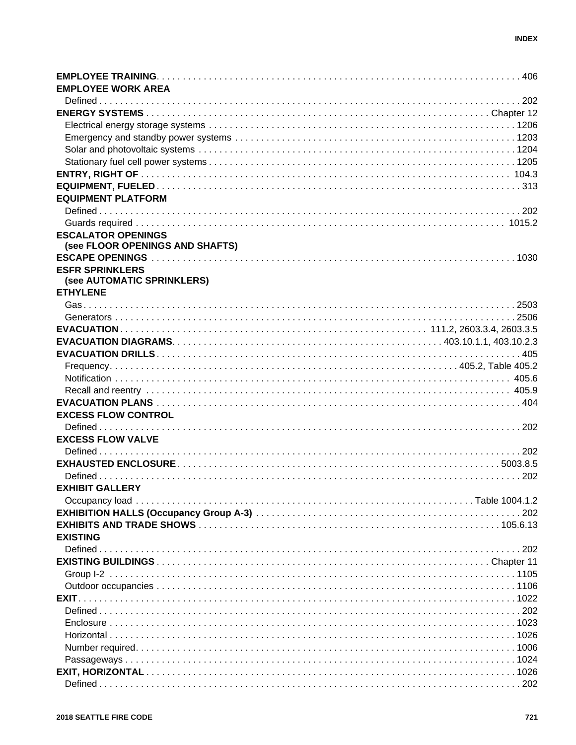| <b>EMPLOYEE WORK AREA</b>       |  |
|---------------------------------|--|
|                                 |  |
|                                 |  |
|                                 |  |
|                                 |  |
|                                 |  |
|                                 |  |
|                                 |  |
|                                 |  |
| <b>EQUIPMENT PLATFORM</b>       |  |
|                                 |  |
|                                 |  |
| <b>ESCALATOR OPENINGS</b>       |  |
| (see FLOOR OPENINGS AND SHAFTS) |  |
|                                 |  |
| <b>ESFR SPRINKLERS</b>          |  |
| (see AUTOMATIC SPRINKLERS)      |  |
| <b>ETHYLENE</b>                 |  |
|                                 |  |
|                                 |  |
|                                 |  |
|                                 |  |
|                                 |  |
|                                 |  |
|                                 |  |
|                                 |  |
|                                 |  |
| <b>EXCESS FLOW CONTROL</b>      |  |
|                                 |  |
| <b>EXCESS FLOW VALVE</b>        |  |
|                                 |  |
|                                 |  |
|                                 |  |
| <b>EXHIBIT GALLERY</b>          |  |
|                                 |  |
|                                 |  |
|                                 |  |
| <b>EXISTING</b>                 |  |
|                                 |  |
|                                 |  |
|                                 |  |
|                                 |  |
|                                 |  |
|                                 |  |
|                                 |  |
|                                 |  |
|                                 |  |
|                                 |  |
|                                 |  |
|                                 |  |
|                                 |  |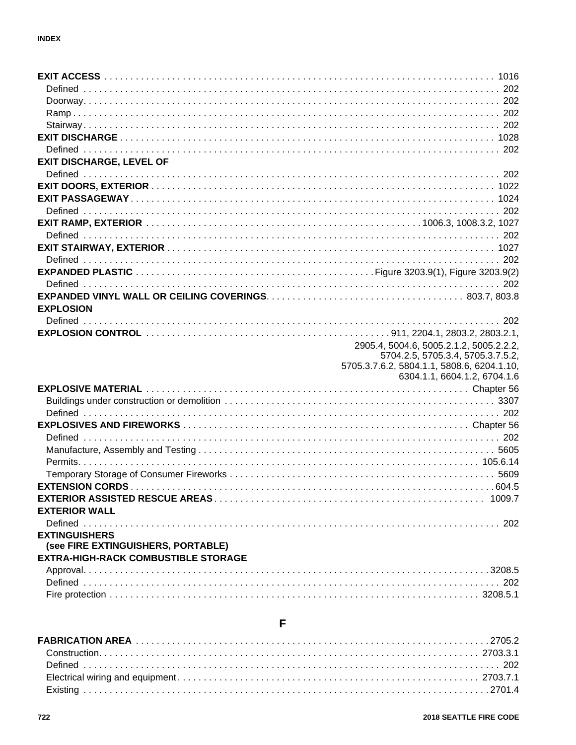| <b>EXIT DISCHARGE, LEVEL OF</b>            |                                                                                 |
|--------------------------------------------|---------------------------------------------------------------------------------|
|                                            |                                                                                 |
|                                            |                                                                                 |
|                                            |                                                                                 |
|                                            |                                                                                 |
|                                            |                                                                                 |
|                                            |                                                                                 |
|                                            |                                                                                 |
|                                            |                                                                                 |
|                                            |                                                                                 |
|                                            |                                                                                 |
|                                            |                                                                                 |
| <b>EXPLOSION</b>                           |                                                                                 |
|                                            |                                                                                 |
|                                            |                                                                                 |
|                                            | 2905.4, 5004.6, 5005.2.1.2, 5005.2.2.2,                                         |
|                                            | 5704.2.5, 5705.3.4, 5705.3.7.5.2,<br>5705.3.7.6.2, 5804.1.1, 5808.6, 6204.1.10, |
|                                            | 6304.1.1, 6604.1.2, 6704.1.6                                                    |
|                                            |                                                                                 |
|                                            |                                                                                 |
|                                            |                                                                                 |
|                                            |                                                                                 |
|                                            |                                                                                 |
|                                            |                                                                                 |
|                                            |                                                                                 |
|                                            |                                                                                 |
|                                            |                                                                                 |
|                                            |                                                                                 |
| <b>EXTERIOR WALL</b>                       |                                                                                 |
|                                            |                                                                                 |
| <b>EXTINGUISHERS</b>                       |                                                                                 |
| (see FIRE EXTINGUISHERS, PORTABLE)         |                                                                                 |
| <b>EXTRA-HIGH-RACK COMBUSTIBLE STORAGE</b> |                                                                                 |
|                                            |                                                                                 |
|                                            |                                                                                 |
|                                            |                                                                                 |

# $\mathsf{F}$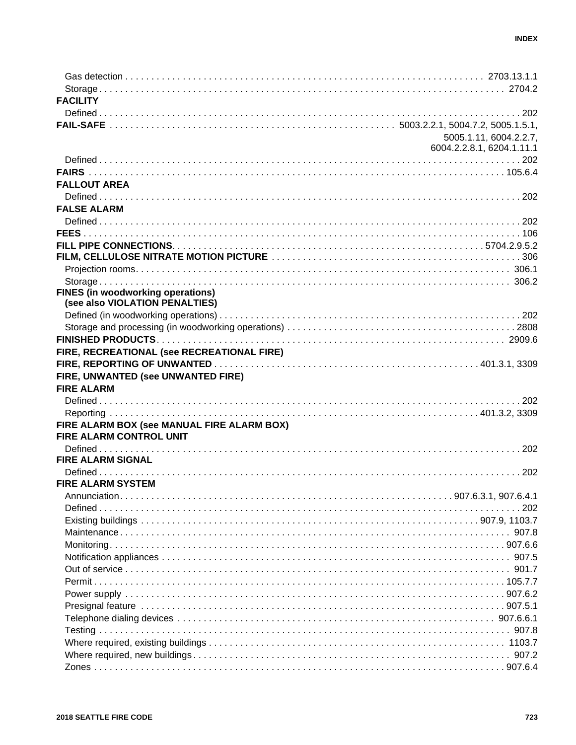| <b>FACILITY</b>                            |                           |
|--------------------------------------------|---------------------------|
|                                            |                           |
|                                            |                           |
|                                            | 5005.1.11, 6004.2.2.7,    |
|                                            | 6004.2.2.8.1, 6204.1.11.1 |
|                                            |                           |
|                                            |                           |
| <b>FALLOUT AREA</b>                        |                           |
|                                            |                           |
| <b>FALSE ALARM</b>                         |                           |
|                                            |                           |
|                                            |                           |
|                                            |                           |
|                                            |                           |
|                                            |                           |
|                                            |                           |
| <b>FINES (in woodworking operations)</b>   |                           |
| (see also VIOLATION PENALTIES)             |                           |
|                                            |                           |
|                                            |                           |
|                                            |                           |
| FIRE, RECREATIONAL (see RECREATIONAL FIRE) |                           |
|                                            |                           |
| FIRE, UNWANTED (see UNWANTED FIRE)         |                           |
| <b>FIRE ALARM</b>                          |                           |
|                                            |                           |
|                                            |                           |
| FIRE ALARM BOX (see MANUAL FIRE ALARM BOX) |                           |
| FIRE ALARM CONTROL UNIT                    |                           |
|                                            |                           |
| <b>FIRE ALARM SIGNAL</b>                   |                           |
|                                            |                           |
| <b>FIRE ALARM SYSTEM</b>                   |                           |
|                                            |                           |
| Defined.                                   | . 202                     |
|                                            |                           |
|                                            |                           |
|                                            |                           |
|                                            |                           |
|                                            |                           |
|                                            |                           |
|                                            |                           |
|                                            |                           |
|                                            |                           |
|                                            |                           |
|                                            |                           |
|                                            |                           |
|                                            |                           |
|                                            |                           |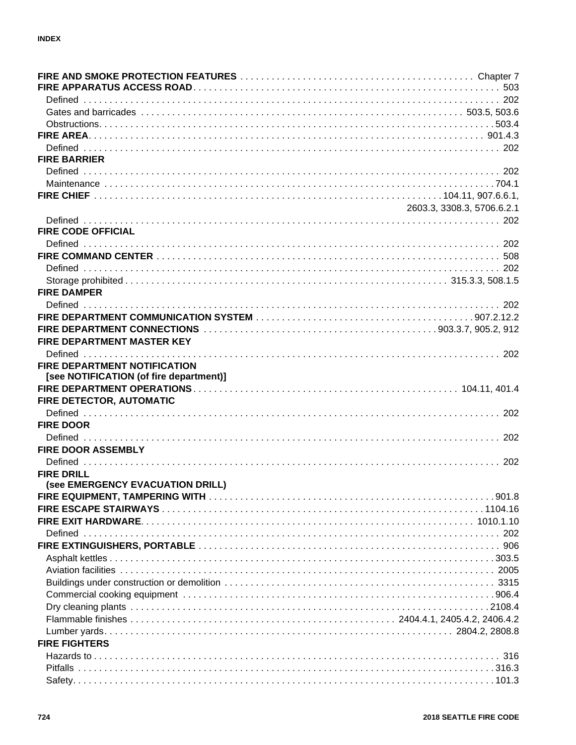| <b>FIRE BARRIER</b>                     |                            |
|-----------------------------------------|----------------------------|
|                                         |                            |
|                                         |                            |
|                                         |                            |
|                                         | 2603.3, 3308.3, 5706.6.2.1 |
|                                         |                            |
| <b>FIRE CODE OFFICIAL</b>               |                            |
|                                         |                            |
|                                         |                            |
|                                         |                            |
|                                         |                            |
| <b>FIRE DAMPER</b>                      |                            |
|                                         |                            |
|                                         |                            |
|                                         |                            |
| <b>FIRE DEPARTMENT MASTER KEY</b>       |                            |
|                                         |                            |
| FIRE DEPARTMENT NOTIFICATION            |                            |
| [see NOTIFICATION (of fire department)] |                            |
|                                         |                            |
| FIRE DETECTOR, AUTOMATIC                |                            |
|                                         |                            |
| <b>FIRE DOOR</b>                        |                            |
|                                         |                            |
| <b>FIRE DOOR ASSEMBLY</b>               |                            |
|                                         |                            |
| <b>FIRE DRILL</b>                       |                            |
| (see EMERGENCY EVACUATION DRILL)        |                            |
|                                         |                            |
|                                         |                            |
|                                         |                            |
|                                         |                            |
|                                         |                            |
|                                         |                            |
|                                         |                            |
|                                         |                            |
|                                         |                            |
|                                         |                            |
|                                         |                            |
|                                         |                            |
| <b>FIRE FIGHTERS</b>                    |                            |
|                                         |                            |
|                                         |                            |
|                                         |                            |
|                                         |                            |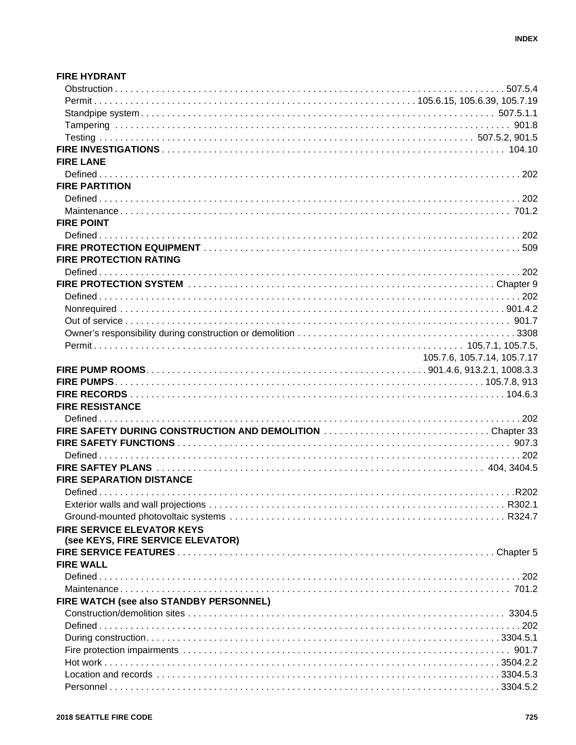| <b>FIRE HYDRANT</b>                                       |                             |
|-----------------------------------------------------------|-----------------------------|
|                                                           |                             |
|                                                           |                             |
|                                                           |                             |
|                                                           |                             |
|                                                           |                             |
|                                                           |                             |
| <b>FIRE LANE</b>                                          |                             |
|                                                           |                             |
| <b>FIRE PARTITION</b>                                     |                             |
|                                                           |                             |
|                                                           |                             |
| <b>FIRE POINT</b>                                         |                             |
|                                                           |                             |
|                                                           |                             |
| <b>FIRE PROTECTION RATING</b>                             |                             |
|                                                           |                             |
|                                                           |                             |
|                                                           |                             |
|                                                           |                             |
|                                                           |                             |
|                                                           |                             |
|                                                           |                             |
|                                                           | 105.7.6, 105.7.14, 105.7.17 |
|                                                           |                             |
|                                                           |                             |
|                                                           |                             |
| <b>FIRE RESISTANCE</b>                                    |                             |
|                                                           |                             |
| FIRE SAFETY DURING CONSTRUCTION AND DEMOLITION Chapter 33 |                             |
|                                                           |                             |
|                                                           |                             |
|                                                           |                             |
| <b>FIRE SEPARATION DISTANCE</b>                           |                             |
|                                                           |                             |
|                                                           |                             |
|                                                           |                             |
|                                                           |                             |
| <b>FIRE SERVICE ELEVATOR KEYS</b>                         |                             |
| (see KEYS, FIRE SERVICE ELEVATOR)                         |                             |
| <b>FIRE WALL</b>                                          |                             |
|                                                           |                             |
|                                                           |                             |
|                                                           |                             |
| FIRE WATCH (see also STANDBY PERSONNEL)                   |                             |
|                                                           |                             |
|                                                           |                             |
|                                                           |                             |
|                                                           |                             |
|                                                           |                             |
|                                                           |                             |
|                                                           |                             |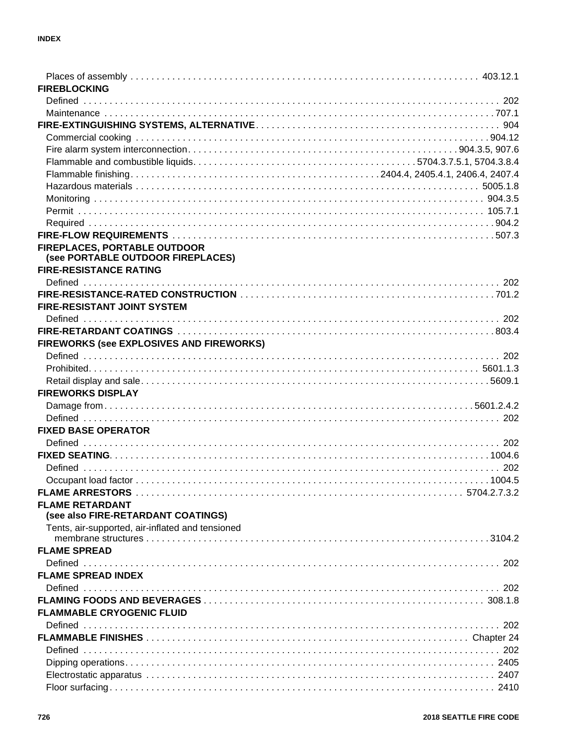| <b>FIREBLOCKING</b>                                                      |  |
|--------------------------------------------------------------------------|--|
|                                                                          |  |
|                                                                          |  |
|                                                                          |  |
|                                                                          |  |
|                                                                          |  |
|                                                                          |  |
|                                                                          |  |
|                                                                          |  |
|                                                                          |  |
|                                                                          |  |
|                                                                          |  |
|                                                                          |  |
|                                                                          |  |
| <b>FIREPLACES, PORTABLE OUTDOOR</b><br>(see PORTABLE OUTDOOR FIREPLACES) |  |
| <b>FIRE-RESISTANCE RATING</b>                                            |  |
|                                                                          |  |
|                                                                          |  |
| <b>FIRE-RESISTANT JOINT SYSTEM</b>                                       |  |
|                                                                          |  |
|                                                                          |  |
| FIREWORKS (see EXPLOSIVES AND FIREWORKS)                                 |  |
|                                                                          |  |
|                                                                          |  |
|                                                                          |  |
| <b>FIREWORKS DISPLAY</b>                                                 |  |
|                                                                          |  |
|                                                                          |  |
| <b>FIXED BASE OPERATOR</b>                                               |  |
|                                                                          |  |
|                                                                          |  |
|                                                                          |  |
|                                                                          |  |
|                                                                          |  |
| <b>FLAME RETARDANT</b>                                                   |  |
| (see also FIRE-RETARDANT COATINGS)                                       |  |
| Tents, air-supported, air-inflated and tensioned                         |  |
|                                                                          |  |
| <b>FLAME SPREAD</b>                                                      |  |
|                                                                          |  |
| <b>FLAME SPREAD INDEX</b>                                                |  |
|                                                                          |  |
|                                                                          |  |
|                                                                          |  |
| <b>FLAMMABLE CRYOGENIC FLUID</b>                                         |  |
|                                                                          |  |
|                                                                          |  |
|                                                                          |  |
|                                                                          |  |
|                                                                          |  |
|                                                                          |  |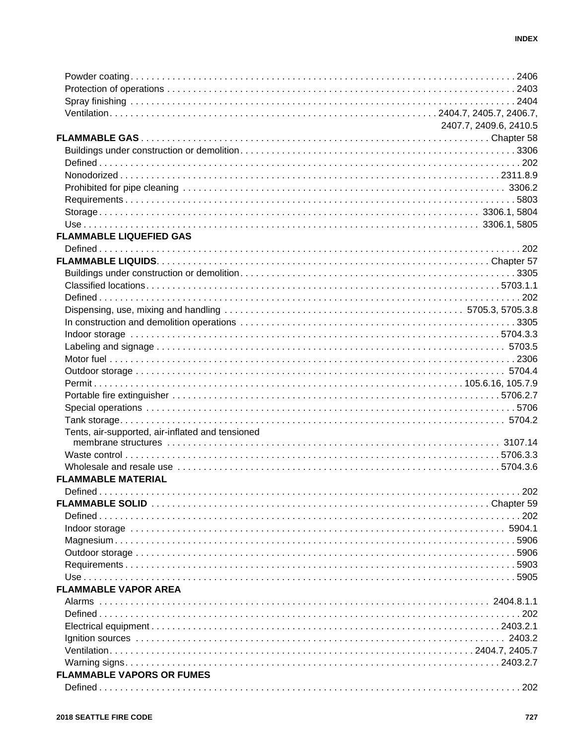|                                                  | 2407.7, 2409.6, 2410.5 |
|--------------------------------------------------|------------------------|
|                                                  |                        |
|                                                  |                        |
|                                                  |                        |
|                                                  |                        |
|                                                  |                        |
|                                                  |                        |
|                                                  |                        |
|                                                  |                        |
|                                                  |                        |
| <b>FLAMMABLE LIQUEFIED GAS</b>                   |                        |
|                                                  |                        |
|                                                  |                        |
|                                                  |                        |
|                                                  |                        |
|                                                  |                        |
|                                                  |                        |
|                                                  |                        |
|                                                  |                        |
|                                                  |                        |
|                                                  |                        |
|                                                  |                        |
|                                                  |                        |
|                                                  |                        |
|                                                  |                        |
|                                                  |                        |
|                                                  |                        |
| Tents, air-supported, air-inflated and tensioned |                        |
|                                                  |                        |
|                                                  |                        |
|                                                  |                        |
| <b>FLAMMABLE MATERIAL</b>                        |                        |
|                                                  |                        |
|                                                  |                        |
|                                                  |                        |
|                                                  |                        |
|                                                  |                        |
|                                                  |                        |
|                                                  |                        |
|                                                  |                        |
|                                                  |                        |
| <b>FLAMMABLE VAPOR AREA</b>                      |                        |
|                                                  |                        |
|                                                  |                        |
|                                                  |                        |
|                                                  |                        |
|                                                  |                        |
|                                                  |                        |
| <b>FLAMMABLE VAPORS OR FUMES</b>                 |                        |
|                                                  |                        |
|                                                  |                        |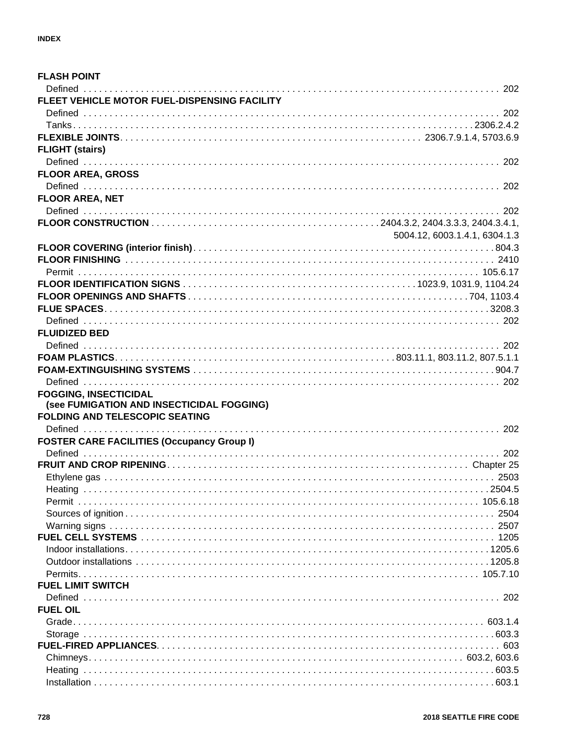| <b>FLASH POINT</b>                                                                 |                               |
|------------------------------------------------------------------------------------|-------------------------------|
|                                                                                    |                               |
| FLEET VEHICLE MOTOR FUEL-DISPENSING FACILITY                                       |                               |
|                                                                                    |                               |
|                                                                                    |                               |
|                                                                                    |                               |
| <b>FLIGHT (stairs)</b>                                                             |                               |
|                                                                                    |                               |
| <b>FLOOR AREA, GROSS</b>                                                           |                               |
|                                                                                    |                               |
| FLOOR AREA, NET                                                                    |                               |
|                                                                                    |                               |
|                                                                                    |                               |
|                                                                                    | 5004.12, 6003.1.4.1, 6304.1.3 |
|                                                                                    |                               |
|                                                                                    |                               |
|                                                                                    |                               |
|                                                                                    |                               |
|                                                                                    |                               |
|                                                                                    |                               |
|                                                                                    |                               |
|                                                                                    |                               |
| <b>FLUIDIZED BED</b>                                                               |                               |
|                                                                                    |                               |
|                                                                                    |                               |
|                                                                                    |                               |
|                                                                                    |                               |
| <b>FOGGING, INSECTICIDAL</b>                                                       |                               |
| (see FUMIGATION AND INSECTICIDAL FOGGING)<br><b>FOLDING AND TELESCOPIC SEATING</b> |                               |
|                                                                                    |                               |
|                                                                                    |                               |
| <b>FOSTER CARE FACILITIES (Occupancy Group I)</b>                                  |                               |
|                                                                                    |                               |
|                                                                                    |                               |
|                                                                                    |                               |
|                                                                                    |                               |
|                                                                                    |                               |
|                                                                                    |                               |
|                                                                                    | 2507                          |
|                                                                                    |                               |
|                                                                                    |                               |
|                                                                                    |                               |
|                                                                                    |                               |
| <b>FUEL LIMIT SWITCH</b>                                                           |                               |
|                                                                                    |                               |
| <b>FUEL OIL</b>                                                                    |                               |
|                                                                                    |                               |
|                                                                                    |                               |
|                                                                                    |                               |
|                                                                                    |                               |
|                                                                                    |                               |
|                                                                                    |                               |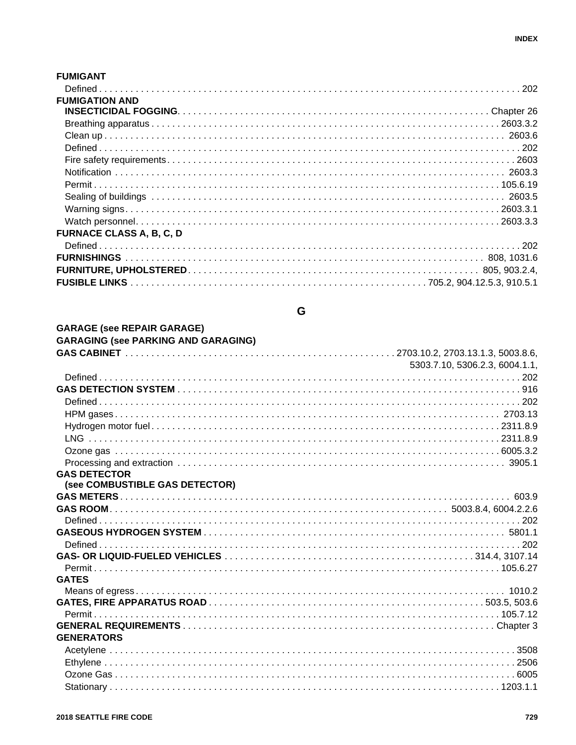#### **FUMIGANT**

| <b>FUMIGATION AND</b>           |  |
|---------------------------------|--|
|                                 |  |
|                                 |  |
|                                 |  |
|                                 |  |
|                                 |  |
|                                 |  |
|                                 |  |
|                                 |  |
|                                 |  |
|                                 |  |
| <b>FURNACE CLASS A, B, C, D</b> |  |
|                                 |  |
|                                 |  |
|                                 |  |
|                                 |  |

# $\mathbf G$

| <b>GARAGE (see REPAIR GARAGE)</b>          |                                |
|--------------------------------------------|--------------------------------|
| <b>GARAGING (see PARKING AND GARAGING)</b> |                                |
|                                            |                                |
|                                            | 5303.7.10, 5306.2.3, 6004.1.1, |
|                                            |                                |
|                                            |                                |
|                                            |                                |
|                                            |                                |
|                                            |                                |
|                                            |                                |
|                                            |                                |
|                                            |                                |
| <b>GAS DETECTOR</b>                        |                                |
| (see COMBUSTIBLE GAS DETECTOR)             |                                |
|                                            |                                |
|                                            |                                |
|                                            |                                |
|                                            |                                |
|                                            |                                |
|                                            |                                |
|                                            |                                |
| <b>GATES</b>                               |                                |
|                                            |                                |
|                                            |                                |
|                                            |                                |
|                                            |                                |
| <b>GENERATORS</b>                          |                                |
|                                            |                                |
|                                            |                                |
|                                            |                                |
|                                            |                                |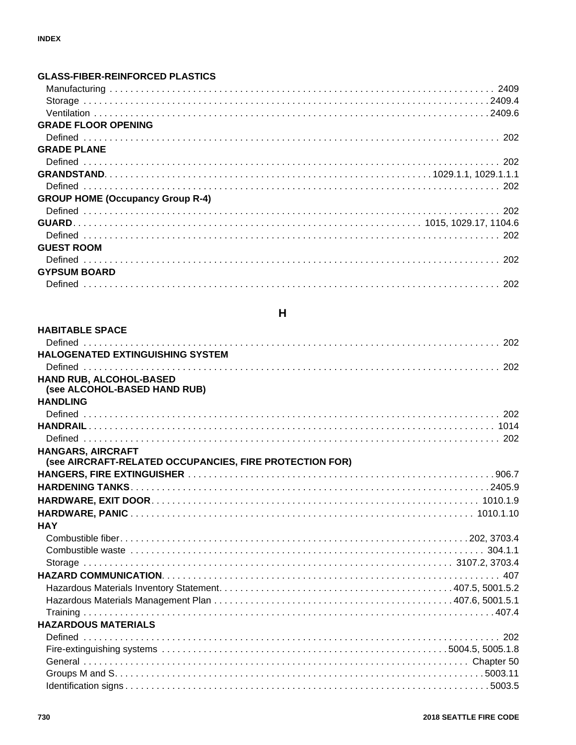| <b>GLASS-FIBER-REINFORCED PLASTICS</b>  |  |
|-----------------------------------------|--|
|                                         |  |
|                                         |  |
|                                         |  |
| <b>GRADE FLOOR OPENING</b>              |  |
|                                         |  |
| <b>GRADE PLANE</b>                      |  |
|                                         |  |
|                                         |  |
|                                         |  |
| <b>GROUP HOME (Occupancy Group R-4)</b> |  |
|                                         |  |
|                                         |  |
|                                         |  |
| <b>GUEST ROOM</b>                       |  |
|                                         |  |
| <b>GYPSUM BOARD</b>                     |  |
|                                         |  |

# $H$

| <b>HABITABLE SPACE</b>                                  |  |
|---------------------------------------------------------|--|
|                                                         |  |
| <b>HALOGENATED EXTINGUISHING SYSTEM</b>                 |  |
|                                                         |  |
| HAND RUB, ALCOHOL-BASED                                 |  |
| (see ALCOHOL-BASED HAND RUB)                            |  |
| <b>HANDLING</b>                                         |  |
|                                                         |  |
|                                                         |  |
|                                                         |  |
| <b>HANGARS, AIRCRAFT</b>                                |  |
| (see AIRCRAFT-RELATED OCCUPANCIES, FIRE PROTECTION FOR) |  |
|                                                         |  |
|                                                         |  |
|                                                         |  |
|                                                         |  |
| <b>HAY</b>                                              |  |
|                                                         |  |
|                                                         |  |
|                                                         |  |
|                                                         |  |
|                                                         |  |
|                                                         |  |
|                                                         |  |
| <b>HAZARDOUS MATERIALS</b>                              |  |
|                                                         |  |
|                                                         |  |
|                                                         |  |
|                                                         |  |
|                                                         |  |
|                                                         |  |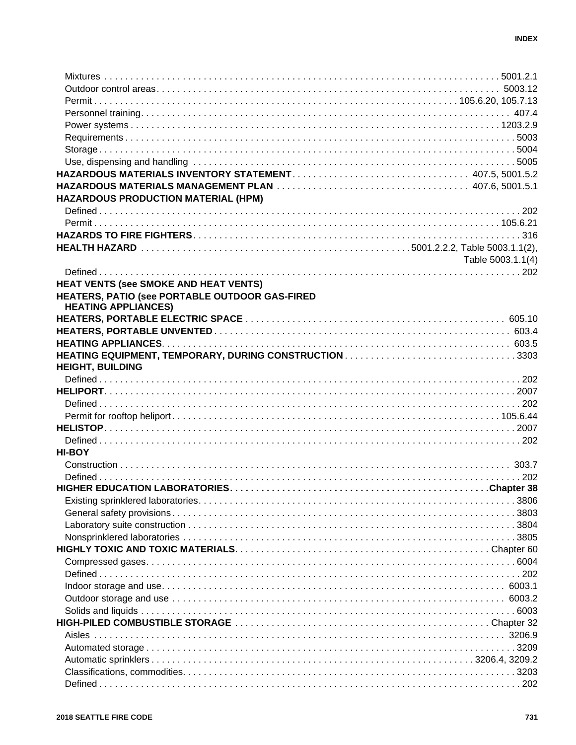| <b>HAZARDOUS PRODUCTION MATERIAL (HPM)</b>            |                   |
|-------------------------------------------------------|-------------------|
|                                                       |                   |
|                                                       |                   |
|                                                       |                   |
|                                                       |                   |
|                                                       | Table 5003.1.1(4) |
|                                                       |                   |
| <b>HEAT VENTS (see SMOKE AND HEAT VENTS)</b>          |                   |
| HEATERS, PATIO (see PORTABLE OUTDOOR GAS-FIRED        |                   |
| <b>HEATING APPLIANCES)</b>                            |                   |
|                                                       |                   |
|                                                       |                   |
|                                                       |                   |
| HEATING EQUIPMENT, TEMPORARY, DURING CONSTRUCTION3303 |                   |
| <b>HEIGHT, BUILDING</b>                               |                   |
|                                                       |                   |
|                                                       |                   |
|                                                       |                   |
|                                                       |                   |
|                                                       |                   |
|                                                       |                   |
| <b>HI-BOY</b>                                         |                   |
|                                                       |                   |
|                                                       |                   |
|                                                       |                   |
|                                                       |                   |
|                                                       |                   |
|                                                       |                   |
|                                                       |                   |
|                                                       |                   |
|                                                       |                   |
|                                                       |                   |
|                                                       |                   |
|                                                       |                   |
|                                                       |                   |
|                                                       |                   |
|                                                       |                   |
|                                                       |                   |
|                                                       |                   |
|                                                       |                   |
|                                                       |                   |
|                                                       |                   |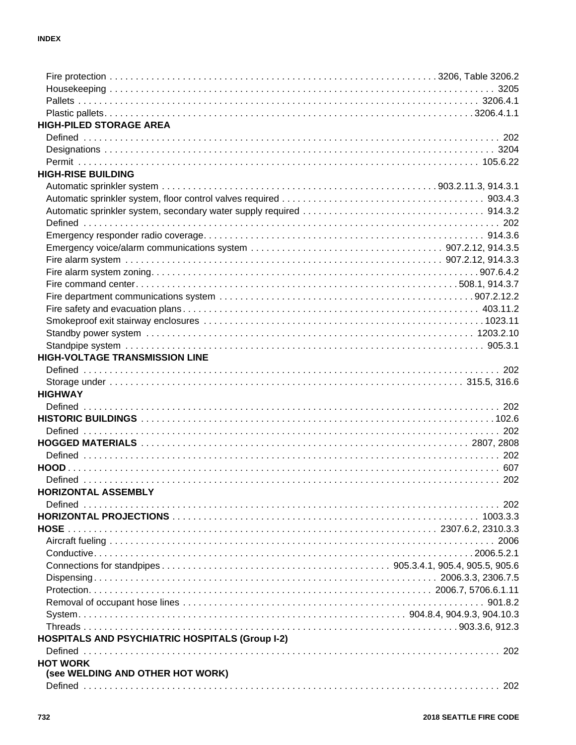| <b>HIGH-PILED STORAGE AREA</b>                         |  |
|--------------------------------------------------------|--|
|                                                        |  |
|                                                        |  |
|                                                        |  |
| <b>HIGH-RISE BUILDING</b>                              |  |
|                                                        |  |
|                                                        |  |
|                                                        |  |
|                                                        |  |
|                                                        |  |
|                                                        |  |
|                                                        |  |
|                                                        |  |
|                                                        |  |
|                                                        |  |
|                                                        |  |
|                                                        |  |
|                                                        |  |
|                                                        |  |
| <b>HIGH-VOLTAGE TRANSMISSION LINE</b>                  |  |
|                                                        |  |
|                                                        |  |
| <b>HIGHWAY</b>                                         |  |
|                                                        |  |
|                                                        |  |
|                                                        |  |
|                                                        |  |
|                                                        |  |
|                                                        |  |
|                                                        |  |
| HORIZONTAL ASSEMBLY                                    |  |
|                                                        |  |
|                                                        |  |
|                                                        |  |
|                                                        |  |
|                                                        |  |
|                                                        |  |
|                                                        |  |
|                                                        |  |
|                                                        |  |
|                                                        |  |
|                                                        |  |
|                                                        |  |
| <b>HOSPITALS AND PSYCHIATRIC HOSPITALS (Group I-2)</b> |  |
|                                                        |  |
| <b>HOT WORK</b>                                        |  |
| (see WELDING AND OTHER HOT WORK)                       |  |
|                                                        |  |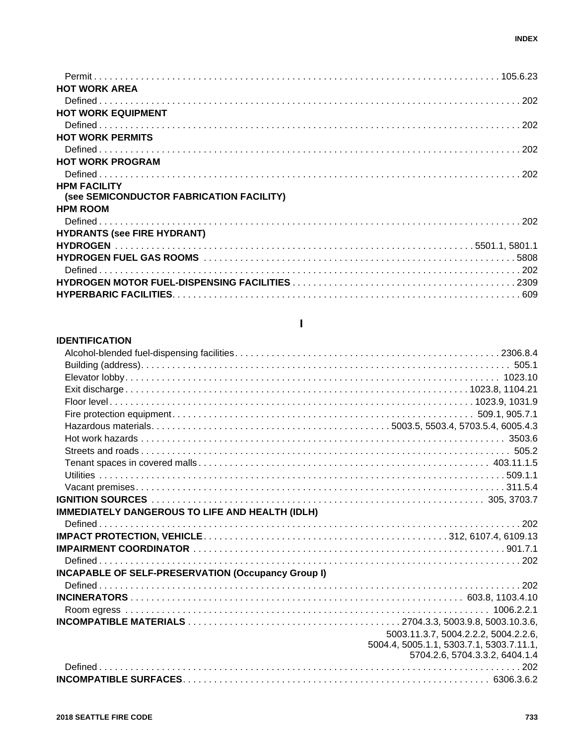| <b>HOT WORK AREA</b>                                            |  |
|-----------------------------------------------------------------|--|
|                                                                 |  |
| <b>HOT WORK EQUIPMENT</b>                                       |  |
|                                                                 |  |
| <b>HOT WORK PERMITS</b>                                         |  |
|                                                                 |  |
| <b>HOT WORK PROGRAM</b>                                         |  |
|                                                                 |  |
| <b>HPM FACILITY</b><br>(see SEMICONDUCTOR FABRICATION FACILITY) |  |
| <b>HPM ROOM</b>                                                 |  |
|                                                                 |  |
| <b>HYDRANTS (see FIRE HYDRANT)</b>                              |  |
|                                                                 |  |
|                                                                 |  |
|                                                                 |  |
|                                                                 |  |
|                                                                 |  |
|                                                                 |  |

#### **IDENTIFICATION**

#### **IMMEDIATELY DANGEROUS TO LIFE AND HEALTH (IDLH) INCAPABLE OF SELF-PRESERVATION (Occupancy Group I)** 5003.11.3.7, 5004.2.2.2, 5004.2.2.6, 5004.4, 5005.1.1, 5303.7.1, 5303.7.11.1, 5704.2.6, 5704.3.3.2, 6404.1.4

### T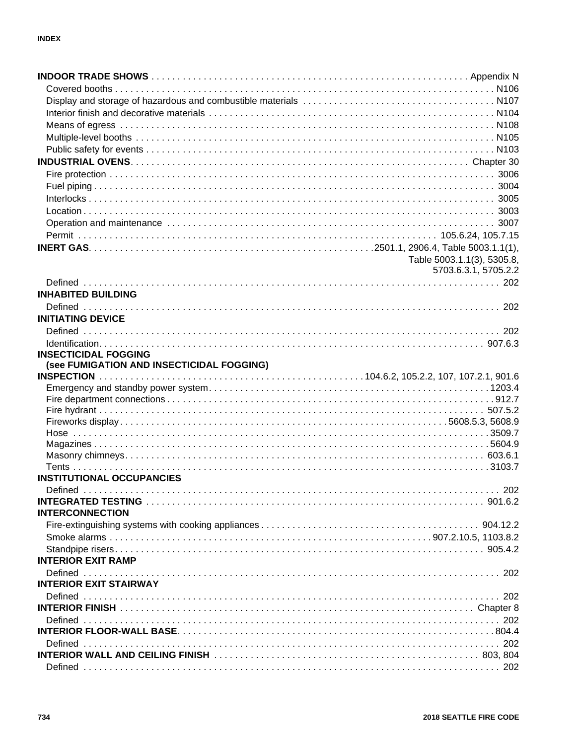|                                                                                                                | Table 5003.1.1(3), 5305.8, |
|----------------------------------------------------------------------------------------------------------------|----------------------------|
|                                                                                                                | 5703.6.3.1, 5705.2.2       |
|                                                                                                                |                            |
| <b>INHABITED BUILDING</b>                                                                                      |                            |
|                                                                                                                |                            |
| <b>INITIATING DEVICE</b>                                                                                       |                            |
|                                                                                                                |                            |
|                                                                                                                |                            |
| <b>INSECTICIDAL FOGGING</b>                                                                                    |                            |
| (see FUMIGATION AND INSECTICIDAL FOGGING)                                                                      |                            |
|                                                                                                                |                            |
|                                                                                                                |                            |
|                                                                                                                |                            |
|                                                                                                                |                            |
|                                                                                                                |                            |
|                                                                                                                |                            |
|                                                                                                                |                            |
|                                                                                                                |                            |
| <b>INSTITUTIONAL OCCUPANCIES</b>                                                                               |                            |
| Defined                                                                                                        | 202                        |
|                                                                                                                |                            |
| <b>INTERCONNECTION</b>                                                                                         |                            |
|                                                                                                                |                            |
|                                                                                                                |                            |
|                                                                                                                |                            |
| <b>INTERIOR EXIT RAMP</b>                                                                                      |                            |
|                                                                                                                |                            |
| <b>INTERIOR EXIT STAIRWAY</b>                                                                                  |                            |
|                                                                                                                |                            |
|                                                                                                                |                            |
|                                                                                                                |                            |
|                                                                                                                |                            |
| INTERIOR WALL AND CEILING FINISH NARROW CONTROL CONTROL CONTROL CONTROL CONTROL CONTROL CONTROL CONTROL CONTRO |                            |
|                                                                                                                |                            |
|                                                                                                                |                            |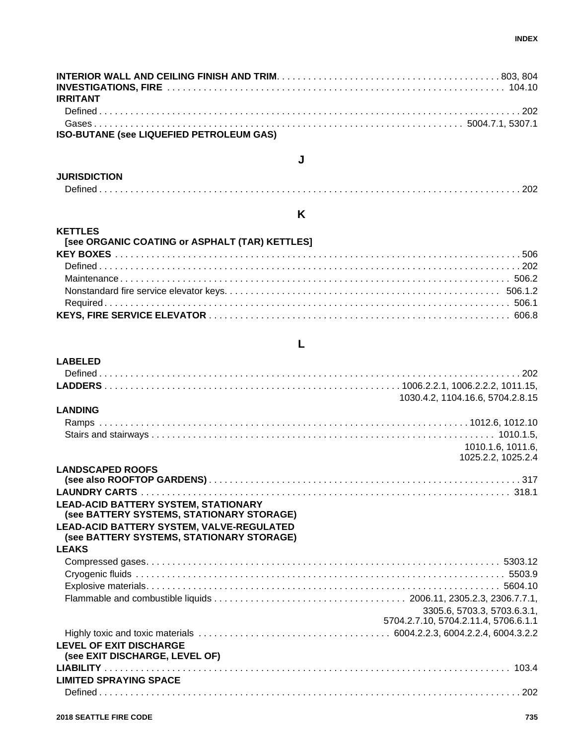| <b>IRRITANT</b>                          |  |
|------------------------------------------|--|
|                                          |  |
|                                          |  |
| ISO-BUTANE (see LIQUEFIED PETROLEUM GAS) |  |

#### **JURISDICTION**

**LABELED**

|--|

**K**

**J**

#### **KETTLES [see ORGANIC COATING or ASPHALT (TAR) KETTLES] KEY BOXES** . . . . . . . . . . . . . . . . . . . . . . . . . . . . . . . . . . . . . . . . . . . . . . . . . . . . . . . . . . . . . . . . . . . . . . . . . . . . . . 506 Defined . . . . . . . . . . . . . . . . . . . . . . . . . . . . . . . . . . . . . . . . . . . . . . . . . . . . . . . . . . . . . . . . . . . . . . . . . . . . . . . . . 202 Maintenance . . . . . . . . . . . . . . . . . . . . . . . . . . . . . . . . . . . . . . . . . . . . . . . . . . . . . . . . . . . . . . . . . . . . . . . . . . . 506.2 Nonstandard fire service elevator keys. . . . . . . . . . . . . . . . . . . . . . . . . . . . . . . . . . . . . . . . . . . . . . . . . . . . . 506.1.2 Required . . . . . . . . . . . . . . . . . . . . . . . . . . . . . . . . . . . . . . . . . . . . . . . . . . . . . . . . . . . . . . . . . . . . . . . . . . . . . . 506.1 **KEYS, FIRE SERVICE ELEVATOR** . . . . . . . . . . . . . . . . . . . . . . . . . . . . . . . . . . . . . . . . . . . . . . . . . . . . . . . . . . 606.8

#### **L**

|                                                                  | 1030.4.2, 1104.16.6, 5704.2.8.15     |
|------------------------------------------------------------------|--------------------------------------|
| <b>LANDING</b>                                                   |                                      |
|                                                                  |                                      |
|                                                                  |                                      |
|                                                                  | 1010.1.6, 1011.6,                    |
|                                                                  | 1025.2.2, 1025.2.4                   |
| <b>LANDSCAPED ROOFS</b>                                          |                                      |
|                                                                  |                                      |
|                                                                  |                                      |
| <b>LEAD-ACID BATTERY SYSTEM, STATIONARY</b>                      |                                      |
| (see BATTERY SYSTEMS, STATIONARY STORAGE)                        |                                      |
|                                                                  |                                      |
| LEAD-ACID BATTERY SYSTEM, VALVE-REGULATED                        |                                      |
| (see BATTERY SYSTEMS, STATIONARY STORAGE)                        |                                      |
| <b>LEAKS</b>                                                     |                                      |
|                                                                  |                                      |
|                                                                  |                                      |
|                                                                  |                                      |
|                                                                  |                                      |
|                                                                  | 3305.6, 5703.3, 5703.6.3.1,          |
|                                                                  | 5704.2.7.10, 5704.2.11.4, 5706.6.1.1 |
|                                                                  |                                      |
| <b>LEVEL OF EXIT DISCHARGE</b><br>(see EXIT DISCHARGE, LEVEL OF) |                                      |
|                                                                  |                                      |
| <b>LIMITED SPRAYING SPACE</b>                                    |                                      |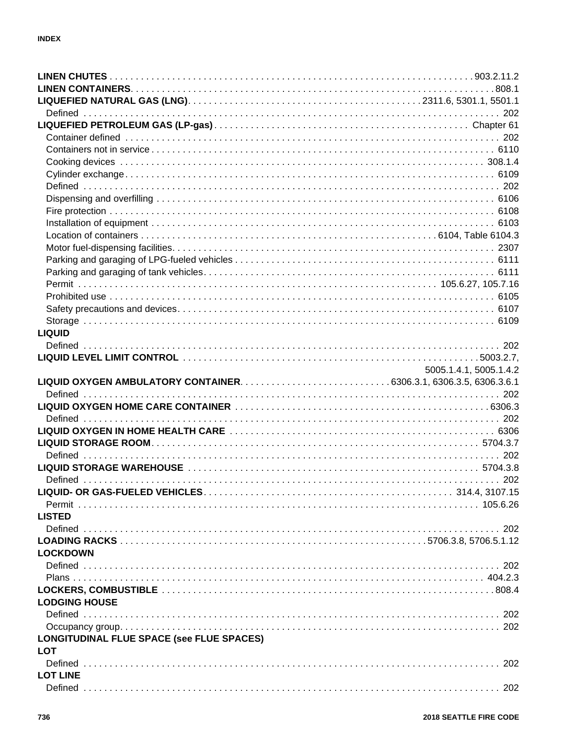| <b>LIQUID</b>                             |                        |
|-------------------------------------------|------------------------|
|                                           |                        |
|                                           |                        |
|                                           | 5005.1.4.1, 5005.1.4.2 |
|                                           |                        |
|                                           |                        |
|                                           |                        |
|                                           |                        |
|                                           |                        |
|                                           |                        |
|                                           |                        |
|                                           |                        |
|                                           |                        |
|                                           |                        |
|                                           |                        |
|                                           |                        |
|                                           |                        |
| <b>LISTED</b>                             |                        |
|                                           |                        |
|                                           |                        |
| <b>LOCKDOWN</b>                           |                        |
|                                           |                        |
|                                           |                        |
|                                           |                        |
| <b>LODGING HOUSE</b>                      |                        |
|                                           |                        |
|                                           |                        |
| LONGITUDINAL FLUE SPACE (see FLUE SPACES) |                        |
| <b>LOT</b>                                |                        |
|                                           |                        |
| <b>LOT LINE</b>                           |                        |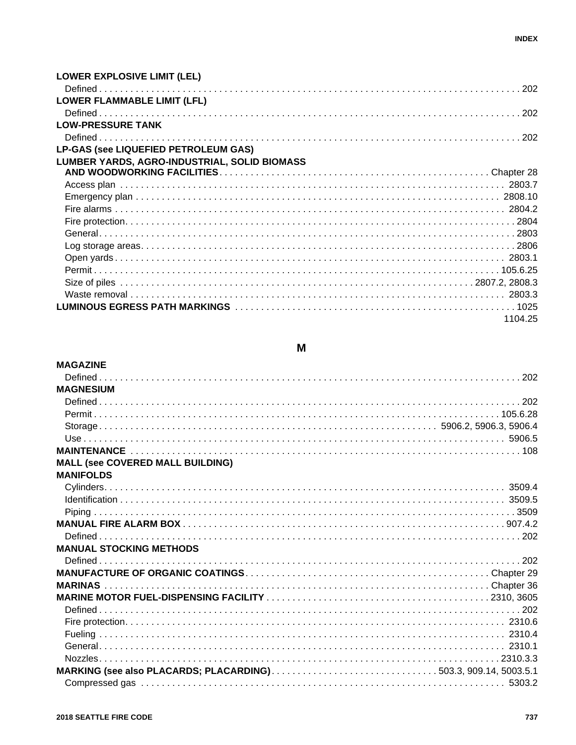| <b>LOWER EXPLOSIVE LIMIT (LEL)</b>           |         |
|----------------------------------------------|---------|
|                                              |         |
| <b>LOWER FLAMMABLE LIMIT (LFL)</b>           |         |
|                                              |         |
| <b>LOW-PRESSURE TANK</b>                     |         |
|                                              |         |
| <b>LP-GAS (see LIQUEFIED PETROLEUM GAS)</b>  |         |
| LUMBER YARDS, AGRO-INDUSTRIAL, SOLID BIOMASS |         |
|                                              |         |
|                                              |         |
|                                              |         |
|                                              |         |
|                                              |         |
|                                              |         |
|                                              |         |
|                                              |         |
|                                              |         |
|                                              |         |
|                                              |         |
|                                              |         |
|                                              | 1104.25 |

# M

| <b>MAGAZINE</b>                                                |  |
|----------------------------------------------------------------|--|
|                                                                |  |
| <b>MAGNESIUM</b>                                               |  |
|                                                                |  |
|                                                                |  |
|                                                                |  |
|                                                                |  |
|                                                                |  |
| <b>MALL (see COVERED MALL BUILDING)</b>                        |  |
| <b>MANIFOLDS</b>                                               |  |
|                                                                |  |
|                                                                |  |
|                                                                |  |
|                                                                |  |
|                                                                |  |
| <b>MANUAL STOCKING METHODS</b>                                 |  |
|                                                                |  |
|                                                                |  |
|                                                                |  |
|                                                                |  |
|                                                                |  |
|                                                                |  |
|                                                                |  |
|                                                                |  |
|                                                                |  |
| MARKING (see also PLACARDS; PLACARDING)503.3, 909.14, 5003.5.1 |  |
|                                                                |  |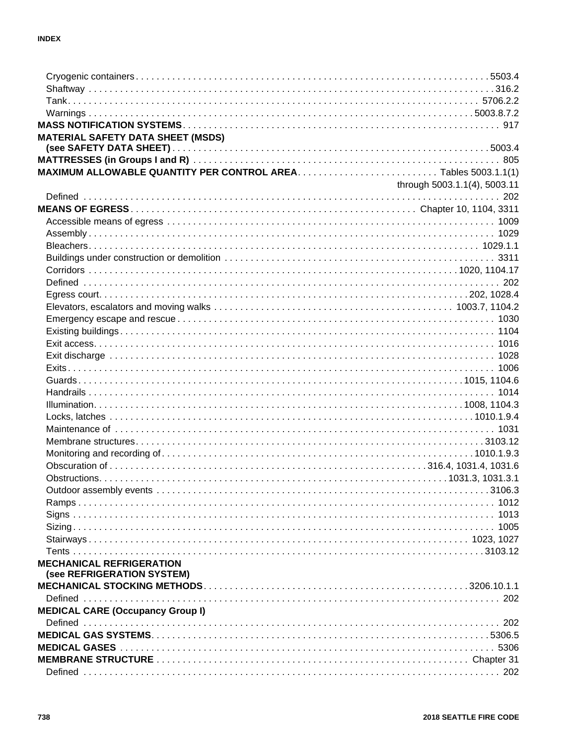| <b>MATERIAL SAFETY DATA SHEET (MSDS)</b> |                              |
|------------------------------------------|------------------------------|
|                                          |                              |
|                                          |                              |
|                                          |                              |
|                                          | through 5003.1.1(4), 5003.11 |
|                                          |                              |
|                                          |                              |
|                                          |                              |
|                                          |                              |
|                                          |                              |
|                                          |                              |
|                                          |                              |
|                                          |                              |
|                                          |                              |
|                                          |                              |
|                                          |                              |
|                                          |                              |
|                                          |                              |
|                                          |                              |
|                                          |                              |
|                                          |                              |
|                                          |                              |
|                                          |                              |
|                                          |                              |
|                                          |                              |
|                                          |                              |
|                                          |                              |
|                                          |                              |
|                                          |                              |
|                                          |                              |
|                                          |                              |
|                                          |                              |
|                                          |                              |
|                                          |                              |
| <b>MECHANICAL REFRIGERATION</b>          |                              |
| (see REFRIGERATION SYSTEM)               |                              |
|                                          |                              |
|                                          |                              |
| <b>MEDICAL CARE (Occupancy Group I)</b>  |                              |
|                                          |                              |
|                                          |                              |
|                                          |                              |
|                                          |                              |
|                                          |                              |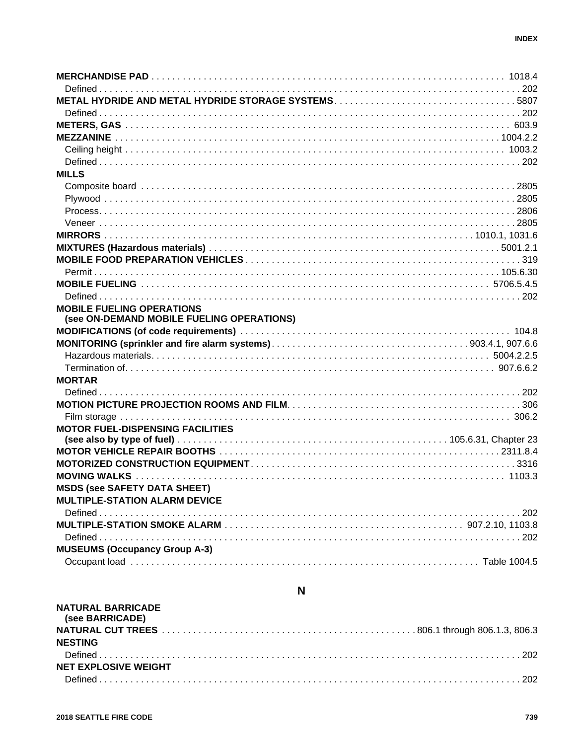| <b>MILLS</b>                              |  |
|-------------------------------------------|--|
|                                           |  |
|                                           |  |
|                                           |  |
|                                           |  |
|                                           |  |
|                                           |  |
|                                           |  |
|                                           |  |
|                                           |  |
|                                           |  |
| <b>MOBILE FUELING OPERATIONS</b>          |  |
| (see ON-DEMAND MOBILE FUELING OPERATIONS) |  |
|                                           |  |
|                                           |  |
|                                           |  |
|                                           |  |
| <b>MORTAR</b>                             |  |
|                                           |  |
|                                           |  |
|                                           |  |
| <b>MOTOR FUEL-DISPENSING FACILITIES</b>   |  |
|                                           |  |
|                                           |  |
|                                           |  |
|                                           |  |
| <b>MSDS (see SAFETY DATA SHEET)</b>       |  |
| <b>MULTIPLE-STATION ALARM DEVICE</b>      |  |
|                                           |  |
|                                           |  |
|                                           |  |
| <b>MUSEUMS (Occupancy Group A-3)</b>      |  |
|                                           |  |
|                                           |  |
| N                                         |  |

| <b>NATURAL BARRICADE</b><br>(see BARRICADE) |  |
|---------------------------------------------|--|
|                                             |  |
| <b>NESTING</b>                              |  |
|                                             |  |
| <b>NET EXPLOSIVE WEIGHT</b>                 |  |
|                                             |  |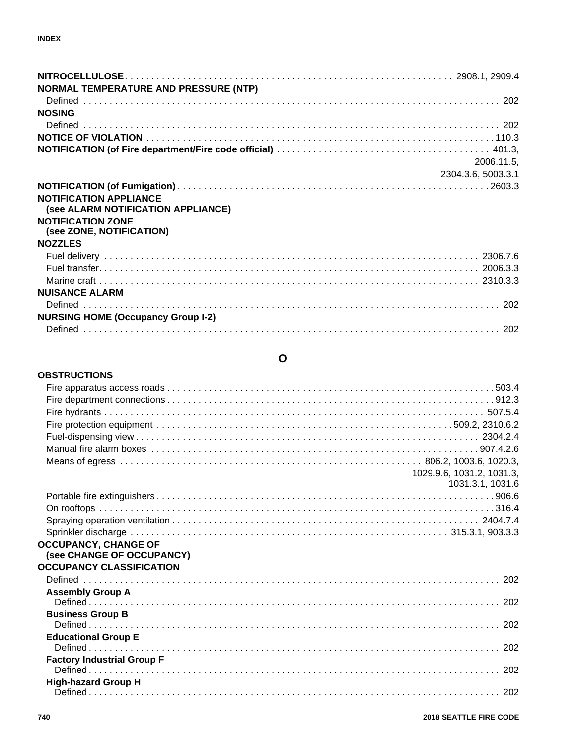| NORMAL TEMPERATURE AND PRESSURE (NTP)      |                    |
|--------------------------------------------|--------------------|
|                                            |                    |
| <b>NOSING</b>                              |                    |
|                                            |                    |
|                                            |                    |
|                                            | 2006.11.5,         |
|                                            | 2304.3.6, 5003.3.1 |
|                                            |                    |
| <b>NOTIFICATION APPLIANCE</b>              |                    |
| (see ALARM NOTIFICATION APPLIANCE)         |                    |
| <b>NOTIFICATION ZONE</b>                   |                    |
| (see ZONE, NOTIFICATION)<br><b>NOZZLES</b> |                    |
|                                            |                    |
|                                            |                    |
|                                            |                    |
| <b>NUISANCE ALARM</b>                      |                    |
|                                            |                    |
| <b>NURSING HOME (Occupancy Group I-2)</b>  |                    |
|                                            |                    |

#### **O**

#### **OBSTRUCTIONS**

|                                   | 1029.9.6, 1031.2, 1031.3, |
|-----------------------------------|---------------------------|
|                                   | 1031.3.1, 1031.6          |
|                                   |                           |
|                                   |                           |
|                                   |                           |
|                                   |                           |
| <b>OCCUPANCY, CHANGE OF</b>       |                           |
| (see CHANGE OF OCCUPANCY)         |                           |
| <b>OCCUPANCY CLASSIFICATION</b>   |                           |
|                                   |                           |
| <b>Assembly Group A</b>           |                           |
| <b>Business Group B</b>           |                           |
|                                   |                           |
| <b>Educational Group E</b>        |                           |
|                                   |                           |
| <b>Factory Industrial Group F</b> |                           |
|                                   |                           |
| <b>High-hazard Group H</b>        |                           |
|                                   |                           |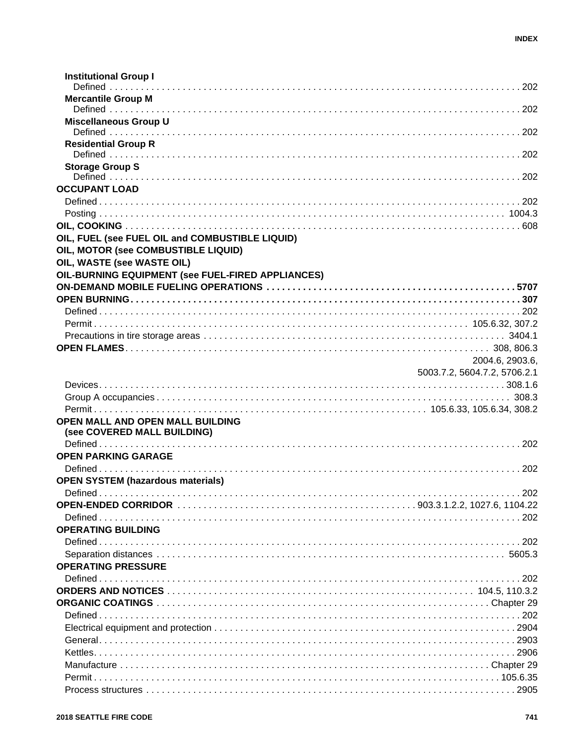| <b>Institutional Group I</b>                      |                              |
|---------------------------------------------------|------------------------------|
| <b>Mercantile Group M</b>                         |                              |
| <b>Miscellaneous Group U</b>                      |                              |
| <b>Residential Group R</b>                        |                              |
| <b>Storage Group S</b>                            |                              |
| <b>OCCUPANT LOAD</b>                              |                              |
|                                                   |                              |
|                                                   |                              |
|                                                   |                              |
| OIL, FUEL (see FUEL OIL and COMBUSTIBLE LIQUID)   |                              |
| OIL, MOTOR (see COMBUSTIBLE LIQUID)               |                              |
| OIL, WASTE (see WASTE OIL)                        |                              |
| OIL-BURNING EQUIPMENT (see FUEL-FIRED APPLIANCES) |                              |
|                                                   |                              |
|                                                   |                              |
|                                                   |                              |
|                                                   |                              |
|                                                   |                              |
|                                                   | 2004.6, 2903.6,              |
|                                                   | 5003.7.2, 5604.7.2, 5706.2.1 |
|                                                   |                              |
|                                                   |                              |
|                                                   |                              |
| OPEN MALL AND OPEN MALL BUILDING                  |                              |
| (see COVERED MALL BUILDING)                       |                              |
|                                                   |                              |
| <b>OPEN PARKING GARAGE</b>                        |                              |
|                                                   |                              |
| <b>OPEN SYSTEM (hazardous materials)</b>          |                              |
|                                                   |                              |
|                                                   |                              |
|                                                   |                              |
| <b>OPERATING BUILDING</b>                         |                              |
|                                                   |                              |
|                                                   |                              |
| <b>OPERATING PRESSURE</b>                         |                              |
|                                                   |                              |
|                                                   |                              |
|                                                   |                              |
|                                                   |                              |
|                                                   |                              |
|                                                   |                              |
|                                                   |                              |
|                                                   |                              |
|                                                   |                              |
|                                                   |                              |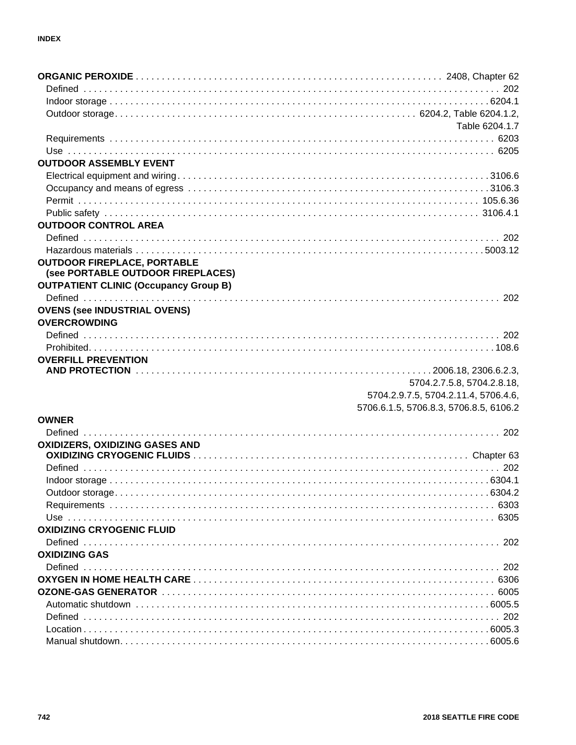|                                                            | Table 6204.1.7                         |
|------------------------------------------------------------|----------------------------------------|
|                                                            |                                        |
|                                                            |                                        |
| <b>OUTDOOR ASSEMBLY EVENT</b>                              |                                        |
|                                                            |                                        |
|                                                            |                                        |
|                                                            |                                        |
|                                                            |                                        |
| <b>OUTDOOR CONTROL AREA</b>                                |                                        |
|                                                            |                                        |
|                                                            |                                        |
| <b>OUTDOOR FIREPLACE, PORTABLE</b>                         |                                        |
| (see PORTABLE OUTDOOR FIREPLACES)                          |                                        |
| <b>OUTPATIENT CLINIC (Occupancy Group B)</b>               |                                        |
|                                                            |                                        |
| <b>OVENS (see INDUSTRIAL OVENS)</b><br><b>OVERCROWDING</b> |                                        |
|                                                            |                                        |
| Problem 108.6                                              |                                        |
| <b>OVERFILL PREVENTION</b>                                 |                                        |
|                                                            |                                        |
|                                                            | 5704.2.7.5.8, 5704.2.8.18,             |
|                                                            | 5704.2.9.7.5, 5704.2.11.4, 5706.4.6,   |
|                                                            | 5706.6.1.5, 5706.8.3, 5706.8.5, 6106.2 |
| <b>OWNER</b>                                               |                                        |
|                                                            |                                        |
| OXIDIZERS, OXIDIZING GASES AND                             |                                        |
|                                                            |                                        |
|                                                            |                                        |
|                                                            |                                        |
|                                                            |                                        |
|                                                            |                                        |
|                                                            |                                        |
| <b>OXIDIZING CRYOGENIC FLUID</b>                           |                                        |
|                                                            |                                        |
| <b>OXIDIZING GAS</b>                                       |                                        |
|                                                            |                                        |
|                                                            |                                        |
|                                                            |                                        |
|                                                            |                                        |
|                                                            |                                        |
|                                                            |                                        |
|                                                            |                                        |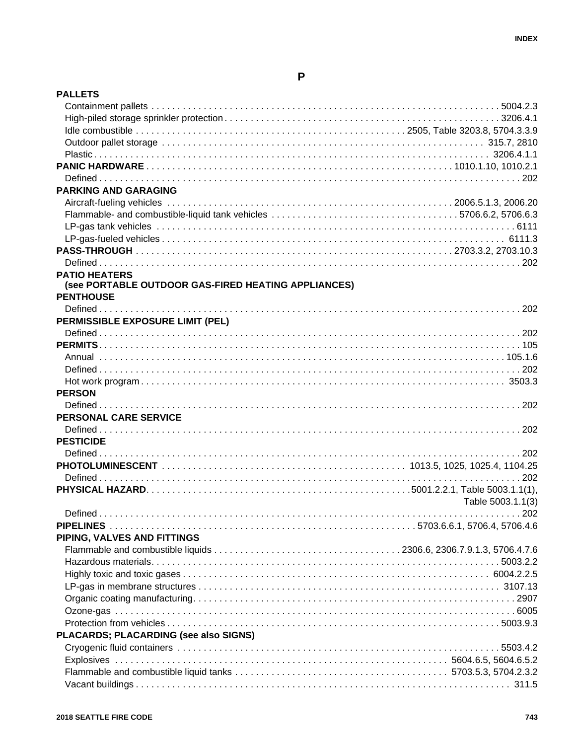| <b>PALLETS</b>                                      |                   |
|-----------------------------------------------------|-------------------|
|                                                     |                   |
|                                                     |                   |
|                                                     |                   |
|                                                     |                   |
|                                                     |                   |
|                                                     |                   |
|                                                     |                   |
| <b>PARKING AND GARAGING</b>                         |                   |
|                                                     |                   |
|                                                     |                   |
|                                                     |                   |
|                                                     |                   |
|                                                     |                   |
|                                                     |                   |
| <b>PATIO HEATERS</b>                                |                   |
| (see PORTABLE OUTDOOR GAS-FIRED HEATING APPLIANCES) |                   |
| <b>PENTHOUSE</b>                                    |                   |
|                                                     |                   |
| PERMISSIBLE EXPOSURE LIMIT (PEL)                    |                   |
|                                                     |                   |
|                                                     |                   |
|                                                     |                   |
|                                                     |                   |
|                                                     |                   |
| <b>PERSON</b>                                       |                   |
|                                                     |                   |
| PERSONAL CARE SERVICE                               |                   |
|                                                     |                   |
| <b>PESTICIDE</b>                                    |                   |
|                                                     |                   |
|                                                     |                   |
|                                                     |                   |
|                                                     |                   |
|                                                     | Table 5003.1.1(3) |
|                                                     |                   |
|                                                     |                   |
| PIPING, VALVES AND FITTINGS                         |                   |
|                                                     |                   |
|                                                     |                   |
|                                                     |                   |
|                                                     |                   |
|                                                     |                   |
|                                                     |                   |
|                                                     |                   |
| PLACARDS; PLACARDING (see also SIGNS)               |                   |
|                                                     |                   |
|                                                     |                   |
|                                                     |                   |
|                                                     |                   |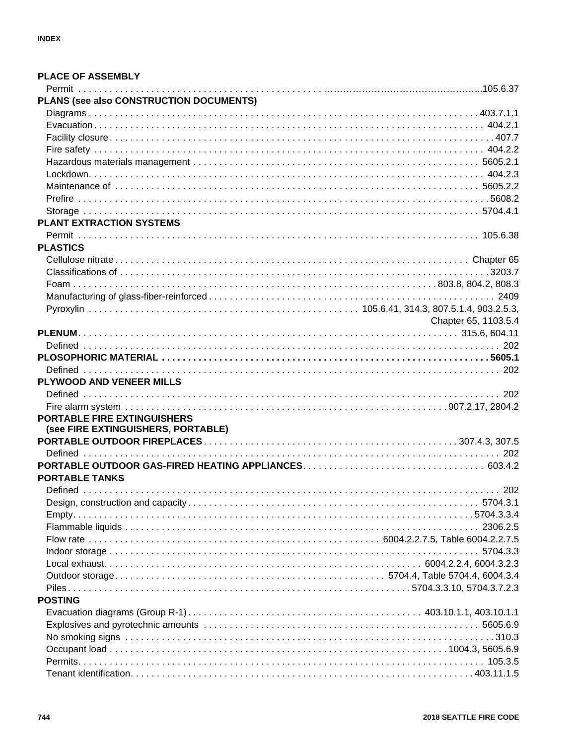| <b>PLACE OF ASSEMBLY</b>                |                      |
|-----------------------------------------|----------------------|
|                                         |                      |
| PLANS (see also CONSTRUCTION DOCUMENTS) |                      |
|                                         |                      |
|                                         |                      |
|                                         |                      |
|                                         |                      |
|                                         |                      |
|                                         |                      |
|                                         |                      |
|                                         |                      |
|                                         |                      |
| <b>PLANT EXTRACTION SYSTEMS</b>         |                      |
|                                         |                      |
| <b>PLASTICS</b>                         |                      |
|                                         |                      |
|                                         |                      |
|                                         |                      |
|                                         |                      |
|                                         |                      |
|                                         | Chapter 65, 1103.5.4 |
|                                         |                      |
|                                         |                      |
|                                         |                      |
|                                         |                      |
| PLYWOOD AND VENEER MILLS                |                      |
|                                         |                      |
|                                         |                      |
| <b>PORTABLE FIRE EXTINGUISHERS</b>      |                      |
| (see FIRE EXTINGUISHERS, PORTABLE)      |                      |
|                                         |                      |
|                                         |                      |
|                                         |                      |
| <b>PORTABLE TANKS</b>                   |                      |
|                                         |                      |
|                                         |                      |
|                                         |                      |
|                                         |                      |
|                                         |                      |
|                                         |                      |
|                                         |                      |
|                                         |                      |
|                                         |                      |
| <b>POSTING</b>                          |                      |
|                                         |                      |
|                                         |                      |
|                                         |                      |
|                                         |                      |
|                                         |                      |
|                                         |                      |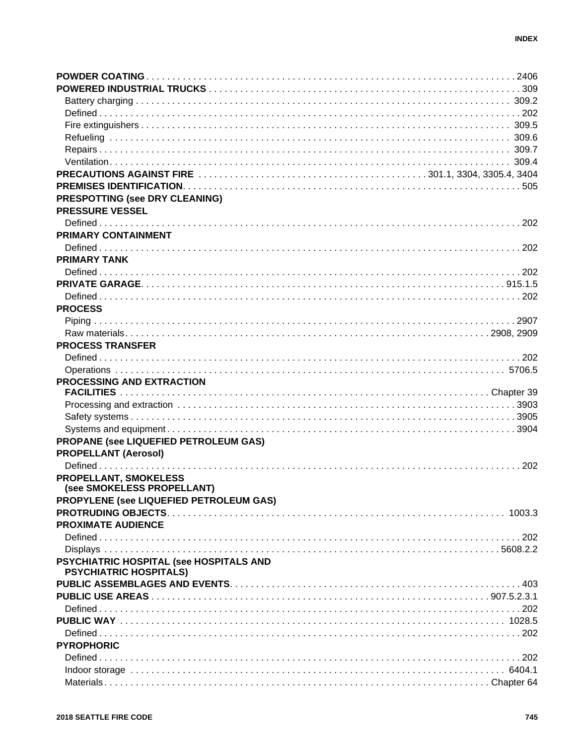| <b>PRESPOTTING (see DRY CLEANING)</b>   |  |
|-----------------------------------------|--|
| <b>PRESSURE VESSEL</b>                  |  |
|                                         |  |
| PRIMARY CONTAINMENT                     |  |
|                                         |  |
| <b>PRIMARY TANK</b>                     |  |
|                                         |  |
|                                         |  |
|                                         |  |
| <b>PROCESS</b>                          |  |
|                                         |  |
|                                         |  |
| <b>PROCESS TRANSFER</b>                 |  |
|                                         |  |
|                                         |  |
| PROCESSING AND EXTRACTION               |  |
|                                         |  |
|                                         |  |
|                                         |  |
|                                         |  |
|                                         |  |
|                                         |  |
| PROPANE (see LIQUEFIED PETROLEUM GAS)   |  |
| <b>PROPELLANT (Aerosol)</b>             |  |
|                                         |  |
| PROPELLANT, SMOKELESS                   |  |
| (see SMOKELESS PROPELLANT)              |  |
| PROPYLENE (see LIQUEFIED PETROLEUM GAS) |  |
|                                         |  |
| <b>PROXIMATE AUDIENCE</b>               |  |
|                                         |  |
|                                         |  |
| PSYCHIATRIC HOSPITAL (see HOSPITALS AND |  |
| <b>PSYCHIATRIC HOSPITALS)</b>           |  |
|                                         |  |
|                                         |  |
|                                         |  |
|                                         |  |
|                                         |  |
| <b>PYROPHORIC</b>                       |  |
|                                         |  |
|                                         |  |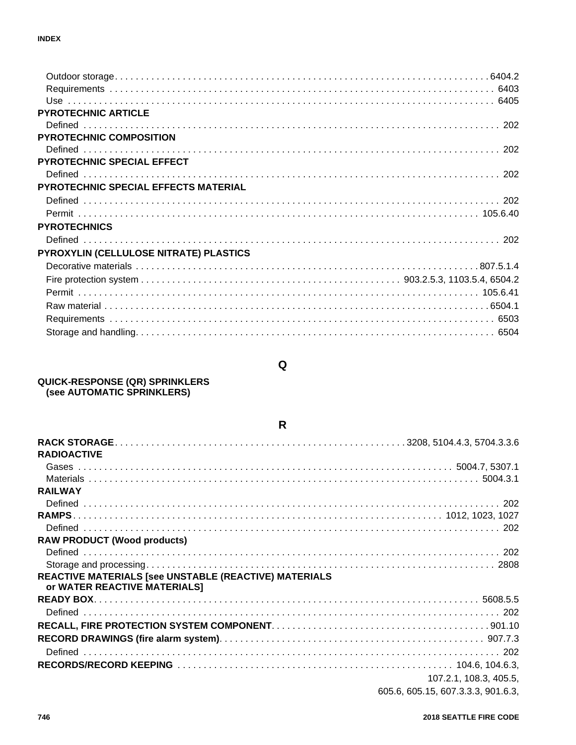| <b>PYROTECHNIC ARTICLE</b>                  |  |
|---------------------------------------------|--|
|                                             |  |
| <b>PYROTECHNIC COMPOSITION</b>              |  |
|                                             |  |
| <b>PYROTECHNIC SPECIAL EFFECT</b>           |  |
|                                             |  |
| <b>PYROTECHNIC SPECIAL EFFECTS MATERIAL</b> |  |
|                                             |  |
|                                             |  |
| <b>PYROTECHNICS</b>                         |  |
|                                             |  |
| PYROXYLIN (CELLULOSE NITRATE) PLASTICS      |  |
|                                             |  |
|                                             |  |
|                                             |  |
|                                             |  |
|                                             |  |
|                                             |  |
|                                             |  |

# $\pmb{\mathsf{Q}}$

# **QUICK-RESPONSE (QR) SPRINKLERS<br>(see AUTOMATIC SPRINKLERS)**

| R                                                                                     |                        |
|---------------------------------------------------------------------------------------|------------------------|
|                                                                                       |                        |
| <b>RADIOACTIVE</b>                                                                    |                        |
|                                                                                       |                        |
|                                                                                       |                        |
| <b>RAILWAY</b>                                                                        |                        |
|                                                                                       |                        |
|                                                                                       |                        |
|                                                                                       |                        |
| <b>RAW PRODUCT (Wood products)</b>                                                    |                        |
|                                                                                       |                        |
|                                                                                       |                        |
| REACTIVE MATERIALS [see UNSTABLE (REACTIVE) MATERIALS<br>or WATER REACTIVE MATERIALS] |                        |
|                                                                                       |                        |
|                                                                                       |                        |
|                                                                                       |                        |
|                                                                                       |                        |
|                                                                                       |                        |
|                                                                                       |                        |
|                                                                                       | 107.2.1, 108.3, 405.5, |

#### 605.6, 605.15, 607.3.3.3, 901.6.3,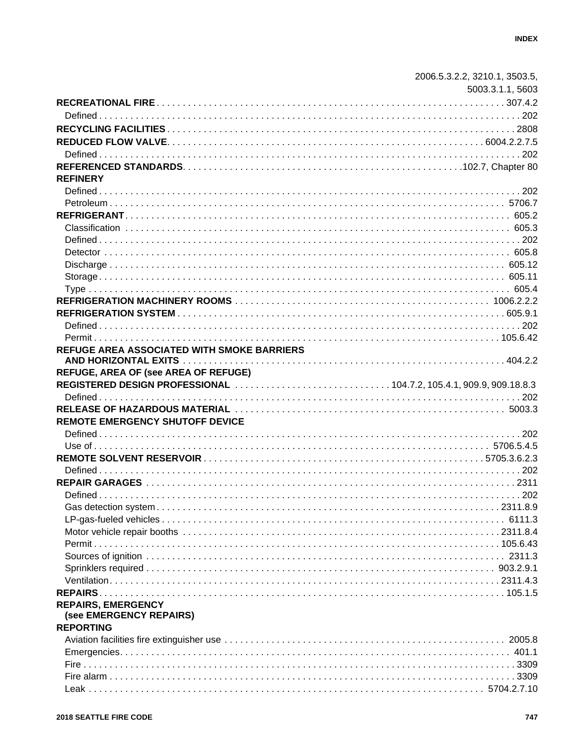|                                             | 2006.5.3.2.2, 3210.1, 3503.5, |
|---------------------------------------------|-------------------------------|
|                                             | 5003.3.1.1, 5603              |
|                                             |                               |
|                                             |                               |
|                                             |                               |
|                                             |                               |
|                                             |                               |
|                                             |                               |
| <b>REFINERY</b>                             |                               |
|                                             |                               |
|                                             |                               |
|                                             |                               |
|                                             |                               |
|                                             |                               |
|                                             |                               |
|                                             |                               |
|                                             |                               |
|                                             |                               |
|                                             |                               |
|                                             |                               |
|                                             |                               |
|                                             |                               |
| REFUGE AREA ASSOCIATED WITH SMOKE BARRIERS  |                               |
|                                             |                               |
|                                             |                               |
|                                             |                               |
| <b>REFUGE, AREA OF (see AREA OF REFUGE)</b> |                               |
|                                             |                               |
|                                             |                               |
| <b>REMOTE EMERGENCY SHUTOFF DEVICE</b>      |                               |
|                                             |                               |
|                                             |                               |
|                                             |                               |
|                                             |                               |
|                                             |                               |
|                                             |                               |
|                                             |                               |
|                                             |                               |
|                                             |                               |
|                                             |                               |
|                                             |                               |
|                                             |                               |
|                                             |                               |
|                                             |                               |
| <b>REPAIRS, EMERGENCY</b>                   |                               |
| (see EMERGENCY REPAIRS)                     |                               |
| <b>REPORTING</b>                            |                               |
|                                             |                               |
|                                             |                               |
|                                             |                               |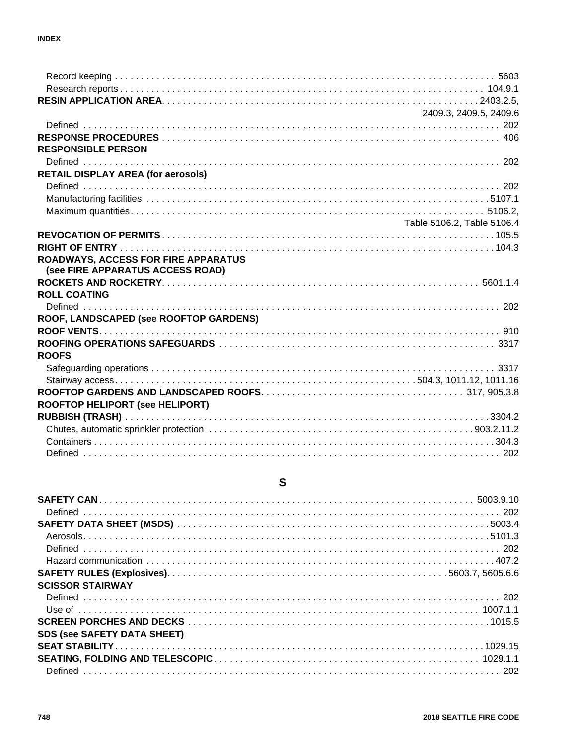|                                                                                | 2409.3, 2409.5, 2409.6     |
|--------------------------------------------------------------------------------|----------------------------|
|                                                                                |                            |
|                                                                                |                            |
| <b>RESPONSIBLE PERSON</b>                                                      |                            |
|                                                                                |                            |
| <b>RETAIL DISPLAY AREA (for aerosols)</b>                                      |                            |
|                                                                                |                            |
|                                                                                |                            |
|                                                                                |                            |
|                                                                                | Table 5106.2, Table 5106.4 |
|                                                                                |                            |
|                                                                                |                            |
| <b>ROADWAYS, ACCESS FOR FIRE APPARATUS</b><br>(see FIRE APPARATUS ACCESS ROAD) |                            |
|                                                                                |                            |
| <b>ROLL COATING</b>                                                            |                            |
|                                                                                |                            |
| ROOF, LANDSCAPED (see ROOFTOP GARDENS)                                         |                            |
|                                                                                |                            |
|                                                                                |                            |
| <b>ROOFS</b>                                                                   |                            |
|                                                                                |                            |
|                                                                                |                            |
|                                                                                |                            |
| ROOFTOP HELIPORT (see HELIPORT)                                                |                            |
|                                                                                |                            |
|                                                                                |                            |
|                                                                                |                            |
|                                                                                |                            |

# $\mathbf S$

| <b>SCISSOR STAIRWAY</b>            |  |
|------------------------------------|--|
|                                    |  |
|                                    |  |
|                                    |  |
| <b>SDS (see SAFETY DATA SHEET)</b> |  |
|                                    |  |
|                                    |  |
|                                    |  |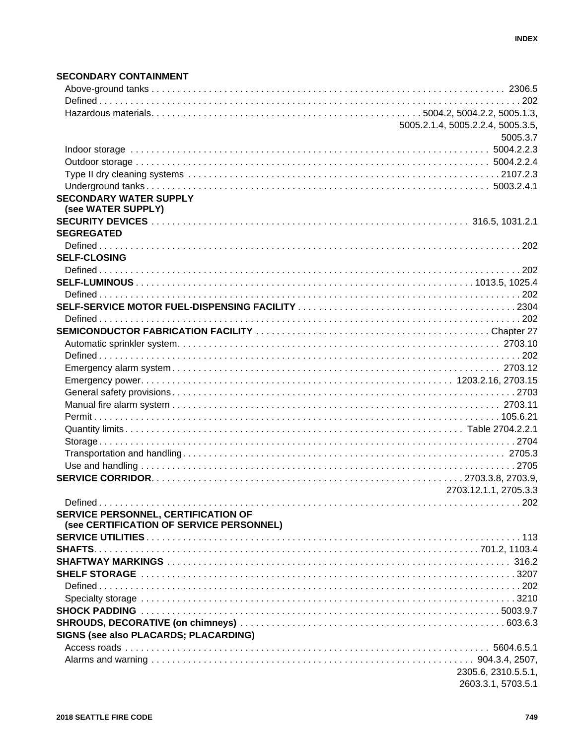#### **SECONDARY CONTAINMENT**

|                                          | 5005.2.1.4, 5005.2.2.4, 5005.3.5, |
|------------------------------------------|-----------------------------------|
|                                          | 5005.3.7                          |
|                                          |                                   |
|                                          |                                   |
|                                          |                                   |
|                                          |                                   |
| <b>SECONDARY WATER SUPPLY</b>            |                                   |
| (see WATER SUPPLY)                       |                                   |
|                                          |                                   |
| <b>SEGREGATED</b>                        |                                   |
|                                          |                                   |
|                                          |                                   |
| <b>SELF-CLOSING</b>                      |                                   |
|                                          |                                   |
|                                          |                                   |
|                                          |                                   |
|                                          |                                   |
|                                          |                                   |
|                                          |                                   |
|                                          |                                   |
|                                          |                                   |
|                                          |                                   |
|                                          |                                   |
|                                          |                                   |
|                                          |                                   |
|                                          |                                   |
|                                          |                                   |
|                                          |                                   |
|                                          |                                   |
|                                          |                                   |
|                                          |                                   |
|                                          |                                   |
|                                          | 2703.12.1.1, 2705.3.3             |
|                                          |                                   |
| SERVICE PERSONNEL, CERTIFICATION OF      |                                   |
| (see CERTIFICATION OF SERVICE PERSONNEL) |                                   |
|                                          |                                   |
|                                          |                                   |
|                                          |                                   |
|                                          |                                   |
|                                          |                                   |
|                                          |                                   |
|                                          |                                   |
|                                          |                                   |
| SIGNS (see also PLACARDS; PLACARDING)    |                                   |
|                                          |                                   |
|                                          |                                   |
|                                          | 2305.6, 2310.5.5.1,               |
|                                          |                                   |
|                                          | 2603.3.1, 5703.5.1                |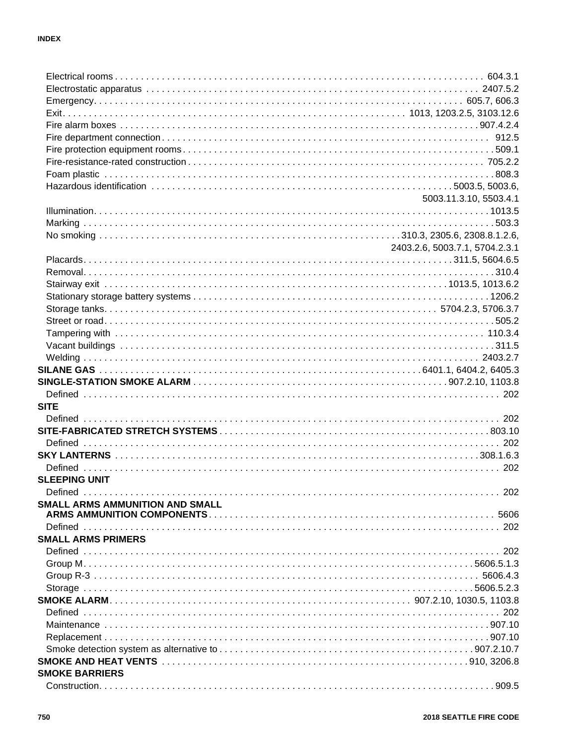|                                                              | 5003.11.3.10, 5503.4.1         |
|--------------------------------------------------------------|--------------------------------|
|                                                              |                                |
|                                                              |                                |
|                                                              |                                |
|                                                              | 2403.2.6, 5003.7.1, 5704.2.3.1 |
|                                                              |                                |
|                                                              |                                |
|                                                              |                                |
|                                                              |                                |
|                                                              |                                |
|                                                              |                                |
|                                                              |                                |
|                                                              |                                |
|                                                              |                                |
|                                                              |                                |
|                                                              |                                |
|                                                              |                                |
|                                                              |                                |
|                                                              |                                |
|                                                              |                                |
| <b>SITE</b>                                                  |                                |
|                                                              |                                |
|                                                              |                                |
|                                                              |                                |
|                                                              |                                |
| <b>SLEEPING UNIT</b>                                         |                                |
| Defined                                                      | 202                            |
|                                                              |                                |
|                                                              |                                |
|                                                              |                                |
|                                                              |                                |
|                                                              |                                |
|                                                              |                                |
|                                                              |                                |
| SMALL ARMS AMMUNITION AND SMALL<br><b>SMALL ARMS PRIMERS</b> |                                |
|                                                              |                                |
|                                                              |                                |
|                                                              |                                |
|                                                              |                                |
|                                                              |                                |
|                                                              |                                |
| <b>SMOKE BARRIERS</b>                                        |                                |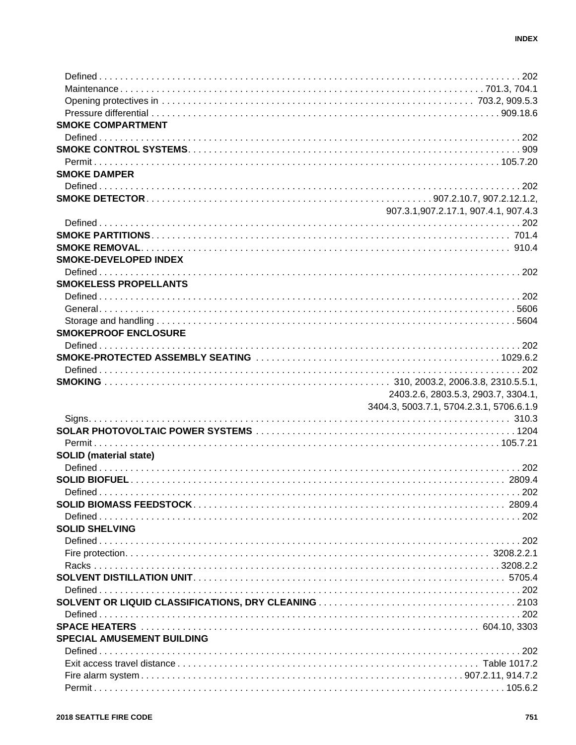| <b>SMOKE COMPARTMENT</b>          |                                          |
|-----------------------------------|------------------------------------------|
|                                   |                                          |
|                                   |                                          |
|                                   |                                          |
| <b>SMOKE DAMPER</b>               |                                          |
|                                   |                                          |
|                                   |                                          |
|                                   | 907.3.1,907.2.17.1, 907.4.1, 907.4.3     |
|                                   |                                          |
|                                   |                                          |
|                                   |                                          |
| <b>SMOKE-DEVELOPED INDEX</b>      |                                          |
|                                   |                                          |
| <b>SMOKELESS PROPELLANTS</b>      |                                          |
|                                   |                                          |
|                                   |                                          |
|                                   |                                          |
| <b>SMOKEPROOF ENCLOSURE</b>       |                                          |
|                                   |                                          |
|                                   |                                          |
|                                   |                                          |
|                                   |                                          |
|                                   |                                          |
|                                   | 2403.2.6, 2803.5.3, 2903.7, 3304.1,      |
|                                   | 3404.3, 5003.7.1, 5704.2.3.1, 5706.6.1.9 |
|                                   |                                          |
|                                   |                                          |
|                                   |                                          |
| <b>SOLID</b> (material state)     |                                          |
|                                   |                                          |
|                                   |                                          |
| Defined                           |                                          |
|                                   |                                          |
|                                   |                                          |
| <b>SOLID SHELVING</b>             |                                          |
|                                   |                                          |
|                                   |                                          |
|                                   |                                          |
|                                   |                                          |
|                                   |                                          |
|                                   |                                          |
|                                   |                                          |
|                                   |                                          |
| <b>SPECIAL AMUSEMENT BUILDING</b> |                                          |
|                                   |                                          |
|                                   |                                          |
|                                   |                                          |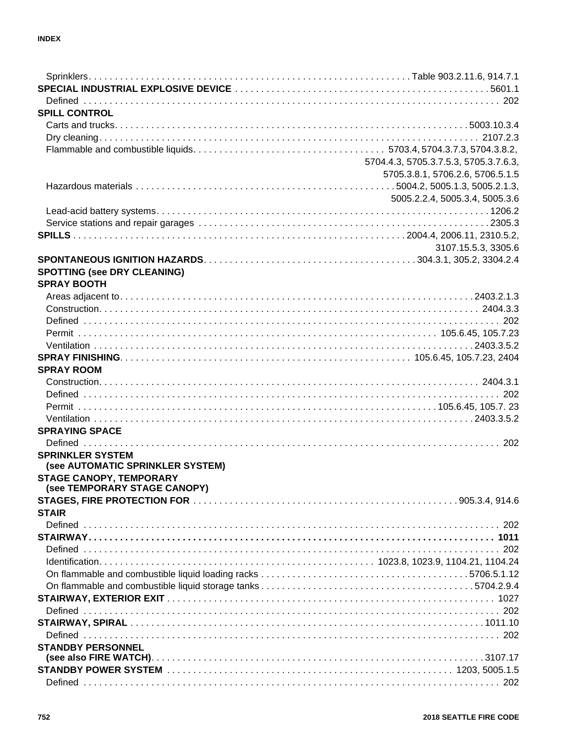| <b>SPILL CONTROL</b>                                               |                                       |
|--------------------------------------------------------------------|---------------------------------------|
|                                                                    |                                       |
|                                                                    |                                       |
|                                                                    |                                       |
|                                                                    | 5704.4.3, 5705.3.7.5.3, 5705.3.7.6.3, |
|                                                                    | 5705.3.8.1, 5706.2.6, 5706.5.1.5      |
|                                                                    |                                       |
|                                                                    | 5005.2.2.4, 5005.3.4, 5005.3.6        |
|                                                                    |                                       |
|                                                                    |                                       |
|                                                                    |                                       |
|                                                                    | 3107.15.5.3, 3305.6                   |
|                                                                    |                                       |
| <b>SPOTTING (see DRY CLEANING)</b>                                 |                                       |
| <b>SPRAY BOOTH</b>                                                 |                                       |
|                                                                    |                                       |
|                                                                    |                                       |
|                                                                    |                                       |
|                                                                    |                                       |
|                                                                    |                                       |
|                                                                    |                                       |
| <b>SPRAY ROOM</b>                                                  |                                       |
|                                                                    |                                       |
|                                                                    |                                       |
|                                                                    |                                       |
|                                                                    |                                       |
| <b>SPRAYING SPACE</b>                                              |                                       |
|                                                                    |                                       |
| <b>SPRINKLER SYSTEM</b>                                            |                                       |
| (see AUTOMATIC SPRINKLER SYSTEM)<br><b>STAGE CANOPY, TEMPORARY</b> |                                       |
| (see TEMPORARY STAGE CANOPY)                                       |                                       |
|                                                                    |                                       |
| <b>STAIR</b>                                                       |                                       |
|                                                                    |                                       |
|                                                                    |                                       |
|                                                                    |                                       |
|                                                                    |                                       |
|                                                                    |                                       |
|                                                                    |                                       |
|                                                                    |                                       |
|                                                                    |                                       |
|                                                                    |                                       |
|                                                                    |                                       |
| <b>STANDBY PERSONNEL</b>                                           |                                       |
|                                                                    |                                       |
|                                                                    |                                       |
|                                                                    |                                       |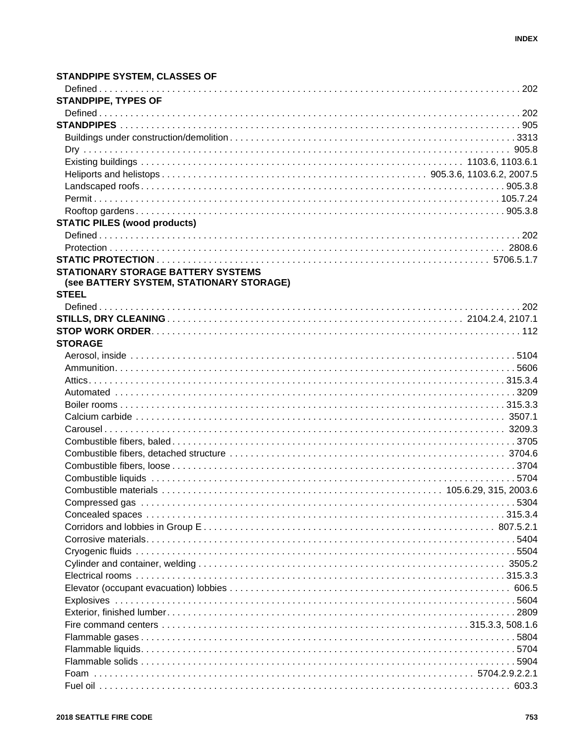#### **STANDPIPE SYSTEM, CLASSES OF STANDPIPE, TYPES OF STATIC PILES (wood products) STATIONARY STORAGE BATTERY SYSTEMS** (see BATTERY SYSTEM, STATIONARY STORAGE) **STEEL STORAGE** Combustible fibers, detached structure measured by contact the contract of the structure of the structure of t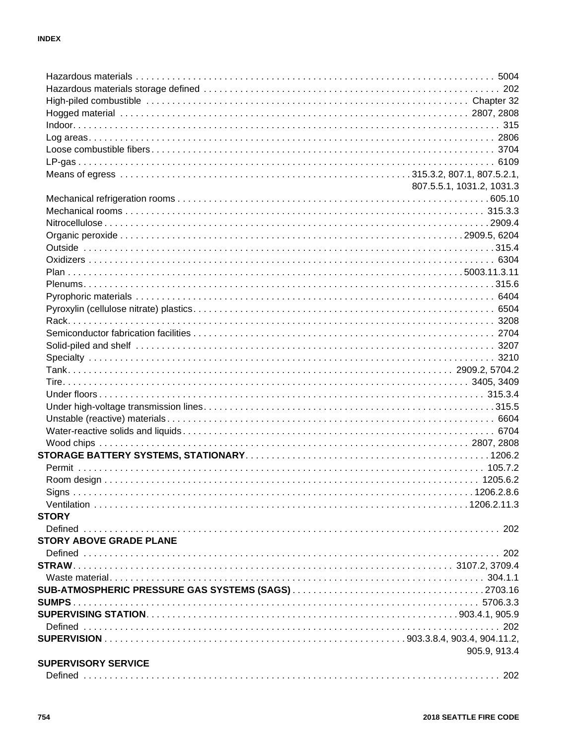|                                | 807.5.5.1, 1031.2, 1031.3 |
|--------------------------------|---------------------------|
|                                |                           |
|                                |                           |
|                                |                           |
|                                |                           |
|                                |                           |
|                                |                           |
|                                |                           |
|                                |                           |
|                                |                           |
|                                |                           |
|                                |                           |
|                                |                           |
|                                |                           |
|                                |                           |
|                                |                           |
|                                |                           |
|                                |                           |
|                                |                           |
|                                |                           |
|                                |                           |
|                                |                           |
|                                |                           |
|                                |                           |
|                                |                           |
|                                |                           |
|                                |                           |
| <b>STORY</b>                   |                           |
|                                |                           |
| <b>STORY ABOVE GRADE PLANE</b> |                           |
|                                |                           |
|                                |                           |
|                                |                           |
|                                |                           |
|                                |                           |
|                                |                           |
|                                |                           |
|                                |                           |
|                                | 905.9, 913.4              |
| <b>SUPERVISORY SERVICE</b>     |                           |
|                                |                           |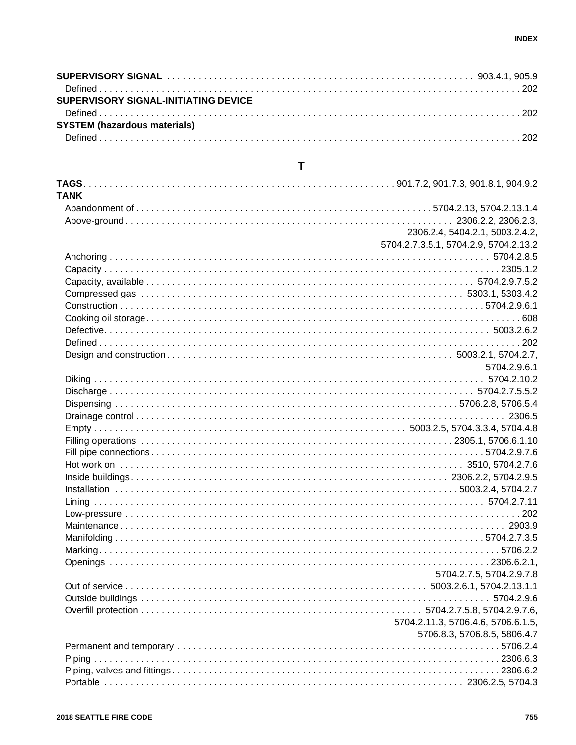| SUPERVISORY SIGNAL-INITIATING DEVICE |  |
|--------------------------------------|--|
|                                      |  |
| <b>SYSTEM (hazardous materials)</b>  |  |
|                                      |  |

# $\mathbf T$

| <b>TANK</b> |                                       |
|-------------|---------------------------------------|
|             |                                       |
|             |                                       |
|             | 2306.2.4, 5404.2.1, 5003.2.4.2,       |
|             | 5704.2.7.3.5.1, 5704.2.9, 5704.2.13.2 |
|             |                                       |
|             |                                       |
|             |                                       |
|             |                                       |
|             |                                       |
|             |                                       |
|             |                                       |
|             |                                       |
|             |                                       |
|             | 5704.2.9.6.1                          |
|             |                                       |
|             |                                       |
|             |                                       |
|             |                                       |
|             |                                       |
|             |                                       |
|             |                                       |
|             |                                       |
|             |                                       |
|             |                                       |
|             |                                       |
|             |                                       |
|             |                                       |
|             |                                       |
|             |                                       |
|             |                                       |
|             |                                       |
|             | 5704.2.7.5, 5704.2.9.7.8              |
|             |                                       |
|             |                                       |
|             |                                       |
|             | 5704.2.11.3, 5706.4.6, 5706.6.1.5,    |
|             | 5706.8.3, 5706.8.5, 5806.4.7          |
|             |                                       |
|             |                                       |
|             |                                       |
|             |                                       |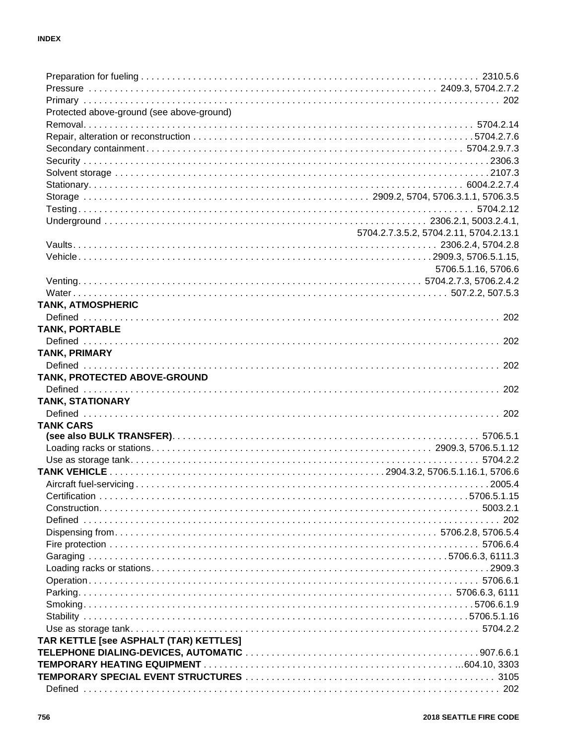| Protected above-ground (see above-ground) |                                        |
|-------------------------------------------|----------------------------------------|
|                                           |                                        |
|                                           |                                        |
|                                           |                                        |
|                                           |                                        |
|                                           |                                        |
|                                           |                                        |
|                                           |                                        |
|                                           |                                        |
|                                           |                                        |
|                                           | 5704.2.7.3.5.2, 5704.2.11, 5704.2.13.1 |
|                                           |                                        |
|                                           |                                        |
|                                           | 5706.5.1.16, 5706.6                    |
|                                           |                                        |
|                                           |                                        |
| <b>TANK, ATMOSPHERIC</b>                  |                                        |
|                                           |                                        |
| <b>TANK, PORTABLE</b>                     |                                        |
|                                           |                                        |
| <b>TANK, PRIMARY</b>                      |                                        |
|                                           |                                        |
| TANK, PROTECTED ABOVE-GROUND              |                                        |
|                                           |                                        |
|                                           |                                        |
| <b>TANK, STATIONARY</b>                   |                                        |
|                                           |                                        |
| <b>TANK CARS</b>                          |                                        |
|                                           |                                        |
|                                           |                                        |
|                                           |                                        |
|                                           |                                        |
|                                           |                                        |
|                                           |                                        |
|                                           |                                        |
|                                           |                                        |
|                                           |                                        |
|                                           |                                        |
|                                           |                                        |
|                                           |                                        |
|                                           |                                        |
|                                           |                                        |
|                                           |                                        |
|                                           |                                        |
|                                           |                                        |
| TAR KETTLE [see ASPHALT (TAR) KETTLES]    |                                        |
|                                           |                                        |
|                                           |                                        |
|                                           |                                        |
| Defined                                   |                                        |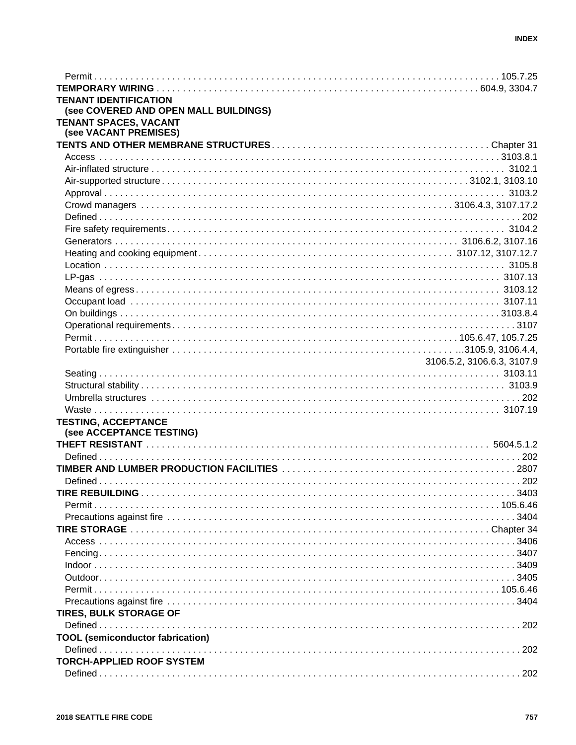| <b>TENANT IDENTIFICATION</b>            |                            |
|-----------------------------------------|----------------------------|
| (see COVERED AND OPEN MALL BUILDINGS)   |                            |
| TENANT SPACES, VACANT                   |                            |
| (see VACANT PREMISES)                   |                            |
|                                         |                            |
|                                         |                            |
|                                         |                            |
|                                         |                            |
|                                         |                            |
|                                         |                            |
|                                         |                            |
|                                         |                            |
|                                         |                            |
|                                         |                            |
|                                         |                            |
|                                         |                            |
|                                         |                            |
|                                         |                            |
|                                         |                            |
|                                         |                            |
|                                         |                            |
|                                         |                            |
|                                         | 3106.5.2, 3106.6.3, 3107.9 |
|                                         |                            |
|                                         |                            |
|                                         |                            |
|                                         |                            |
| <b>TESTING, ACCEPTANCE</b>              |                            |
| (see ACCEPTANCE TESTING)                |                            |
|                                         |                            |
|                                         |                            |
|                                         |                            |
|                                         |                            |
|                                         |                            |
|                                         |                            |
|                                         |                            |
|                                         |                            |
|                                         |                            |
|                                         |                            |
|                                         |                            |
|                                         |                            |
|                                         |                            |
|                                         |                            |
| <b>TIRES, BULK STORAGE OF</b>           |                            |
|                                         |                            |
| <b>TOOL</b> (semiconductor fabrication) |                            |
|                                         |                            |
| <b>TORCH-APPLIED ROOF SYSTEM</b>        |                            |
|                                         |                            |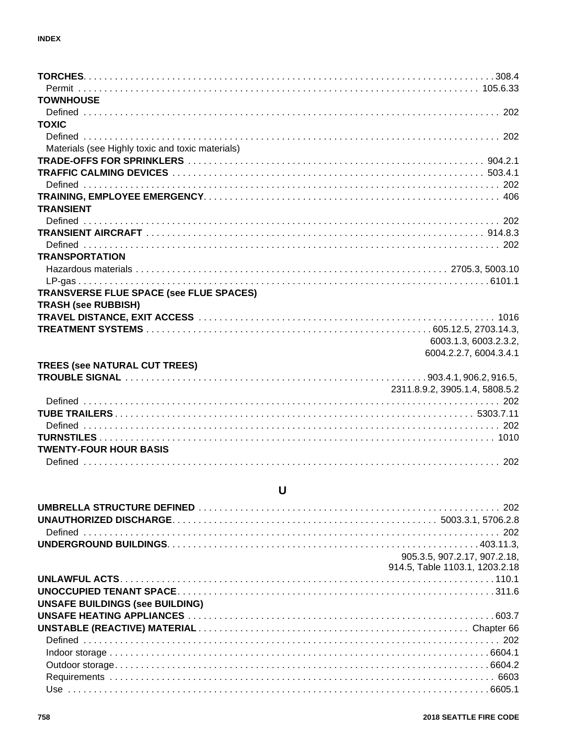| <b>TOWNHOUSE</b>                                 |
|--------------------------------------------------|
|                                                  |
| <b>TOXIC</b>                                     |
|                                                  |
| Materials (see Highly toxic and toxic materials) |
|                                                  |
|                                                  |
|                                                  |
|                                                  |
| <b>TRANSIENT</b>                                 |
|                                                  |
|                                                  |
|                                                  |
| <b>TRANSPORTATION</b>                            |
|                                                  |
|                                                  |
| TRANSVERSE FLUE SPACE (see FLUE SPACES)          |
| <b>TRASH (see RUBBISH)</b>                       |
|                                                  |
|                                                  |
| 6003.1.3, 6003.2.3.2,                            |
| 6004.2.2.7, 6004.3.4.1                           |
| <b>TREES (see NATURAL CUT TREES)</b>             |
|                                                  |
| 2311.8.9.2, 3905.1.4, 5808.5.2                   |
|                                                  |
|                                                  |
|                                                  |
|                                                  |
| <b>TWENTY-FOUR HOUR BASIS</b>                    |
|                                                  |

### $\pmb{\pmb{\pmb{\cup}}}$

| 905.3.5, 907.2.17, 907.2.18,           |
|----------------------------------------|
| 914.5, Table 1103.1, 1203.2.18         |
|                                        |
|                                        |
| <b>UNSAFE BUILDINGS (see BUILDING)</b> |
|                                        |
|                                        |
|                                        |
|                                        |
|                                        |
|                                        |
|                                        |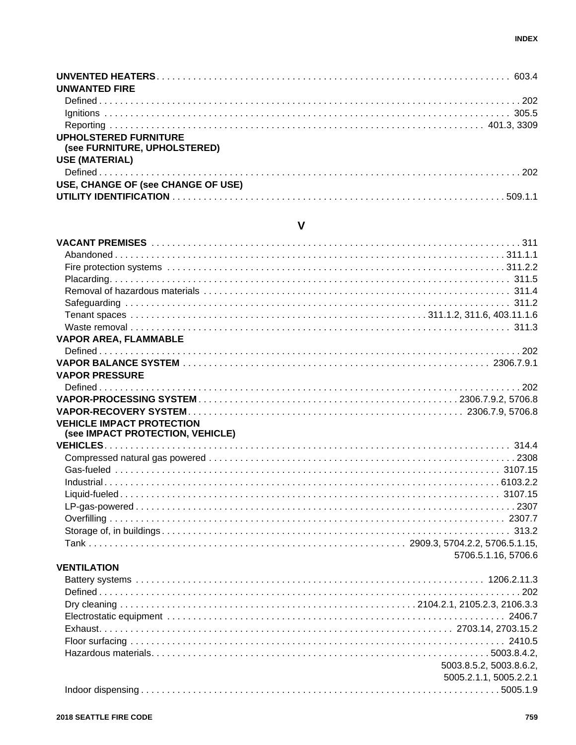| <b>UNWANTED FIRE</b>                                         |  |
|--------------------------------------------------------------|--|
|                                                              |  |
|                                                              |  |
|                                                              |  |
| <b>UPHOLSTERED FURNITURE</b><br>(see FURNITURE, UPHOLSTERED) |  |
| <b>USE (MATERIAL)</b>                                        |  |
|                                                              |  |
| USE, CHANGE OF (see CHANGE OF USE)                           |  |
|                                                              |  |

### $\mathsf{V}$

| <b>VAPOR AREA, FLAMMABLE</b>                                         |  |
|----------------------------------------------------------------------|--|
|                                                                      |  |
|                                                                      |  |
| <b>VAPOR PRESSURE</b>                                                |  |
|                                                                      |  |
|                                                                      |  |
|                                                                      |  |
| <b>VEHICLE IMPACT PROTECTION</b><br>(see IMPACT PROTECTION, VEHICLE) |  |
|                                                                      |  |
|                                                                      |  |
|                                                                      |  |
|                                                                      |  |
|                                                                      |  |
|                                                                      |  |
|                                                                      |  |
|                                                                      |  |
|                                                                      |  |
| 5706.5.1.16, 5706.6                                                  |  |
| <b>VENTILATION</b>                                                   |  |
|                                                                      |  |
|                                                                      |  |
|                                                                      |  |
|                                                                      |  |
|                                                                      |  |
|                                                                      |  |
|                                                                      |  |
| 5003.8.5.2, 5003.8.6.2,                                              |  |

#### 5005.2.1.1, 5005.2.2.1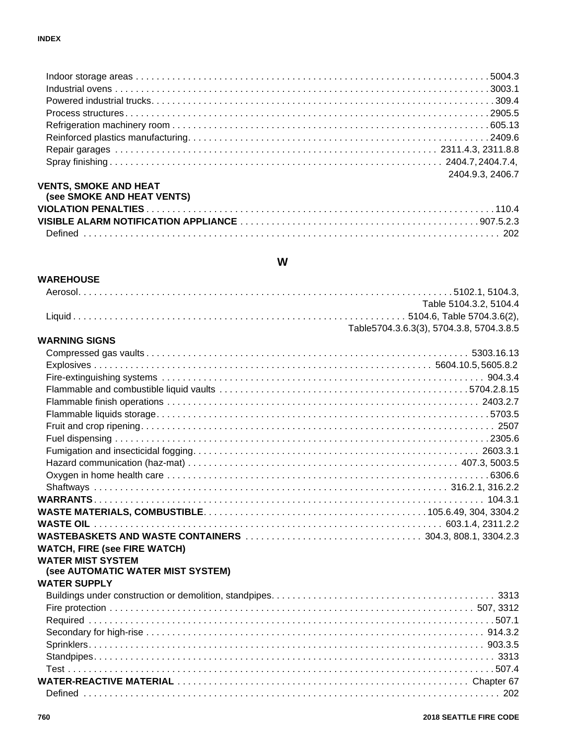|                              | 2404.9.3.2406.7 |
|------------------------------|-----------------|
| <b>VENTS, SMOKE AND HEAT</b> |                 |

| (see SMOKE AND HEAT VENTS) |  |
|----------------------------|--|
|                            |  |
|                            |  |
|                            |  |

#### **W**

| <b>WAREHOUSE</b>                    |                                          |
|-------------------------------------|------------------------------------------|
|                                     |                                          |
|                                     | Table 5104.3.2, 5104.4                   |
|                                     |                                          |
|                                     | Table5704.3.6.3(3), 5704.3.8, 5704.3.8.5 |
| <b>WARNING SIGNS</b>                |                                          |
|                                     |                                          |
|                                     |                                          |
|                                     |                                          |
|                                     |                                          |
|                                     |                                          |
|                                     |                                          |
|                                     |                                          |
|                                     |                                          |
|                                     |                                          |
|                                     |                                          |
|                                     |                                          |
|                                     |                                          |
|                                     |                                          |
|                                     |                                          |
|                                     |                                          |
|                                     |                                          |
| <b>WATCH, FIRE (see FIRE WATCH)</b> |                                          |
| <b>WATER MIST SYSTEM</b>            |                                          |
| (see AUTOMATIC WATER MIST SYSTEM)   |                                          |
| <b>WATER SUPPLY</b>                 |                                          |
|                                     |                                          |
|                                     |                                          |
|                                     |                                          |
|                                     |                                          |
|                                     |                                          |
|                                     |                                          |
|                                     |                                          |
|                                     |                                          |
|                                     |                                          |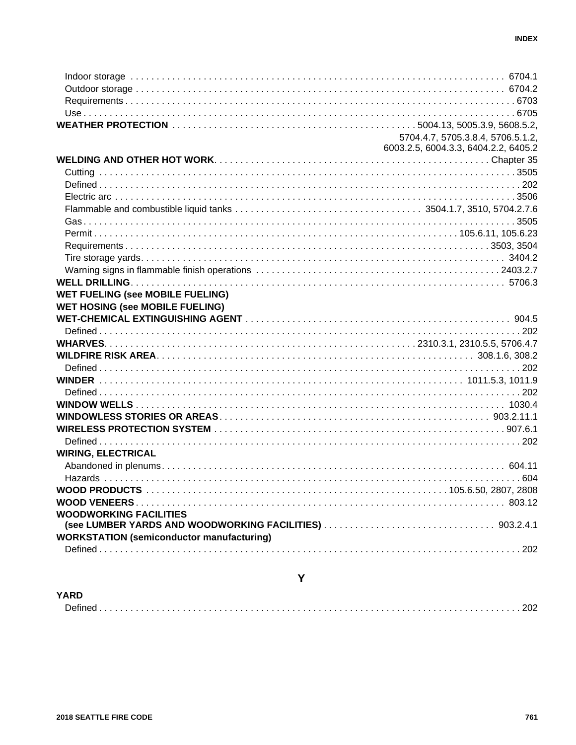|                                                  | 5704.4.7, 5705.3.8.4, 5706.5.1.2,    |
|--------------------------------------------------|--------------------------------------|
|                                                  | 6003.2.5, 6004.3.3, 6404.2.2, 6405.2 |
|                                                  |                                      |
|                                                  |                                      |
|                                                  |                                      |
|                                                  |                                      |
|                                                  |                                      |
|                                                  |                                      |
|                                                  |                                      |
|                                                  |                                      |
|                                                  |                                      |
|                                                  |                                      |
|                                                  |                                      |
| <b>WET FUELING (see MOBILE FUELING)</b>          |                                      |
| <b>WET HOSING (see MOBILE FUELING)</b>           |                                      |
|                                                  |                                      |
|                                                  |                                      |
|                                                  |                                      |
|                                                  |                                      |
|                                                  |                                      |
|                                                  |                                      |
|                                                  |                                      |
|                                                  |                                      |
|                                                  |                                      |
|                                                  |                                      |
|                                                  |                                      |
| <b>WIRING, ELECTRICAL</b>                        |                                      |
|                                                  |                                      |
|                                                  |                                      |
|                                                  |                                      |
|                                                  |                                      |
| <b>WOODWORKING FACILITIES</b>                    |                                      |
|                                                  |                                      |
| <b>WORKSTATION (semiconductor manufacturing)</b> |                                      |
|                                                  |                                      |
|                                                  |                                      |

#### Y

# **YARD**